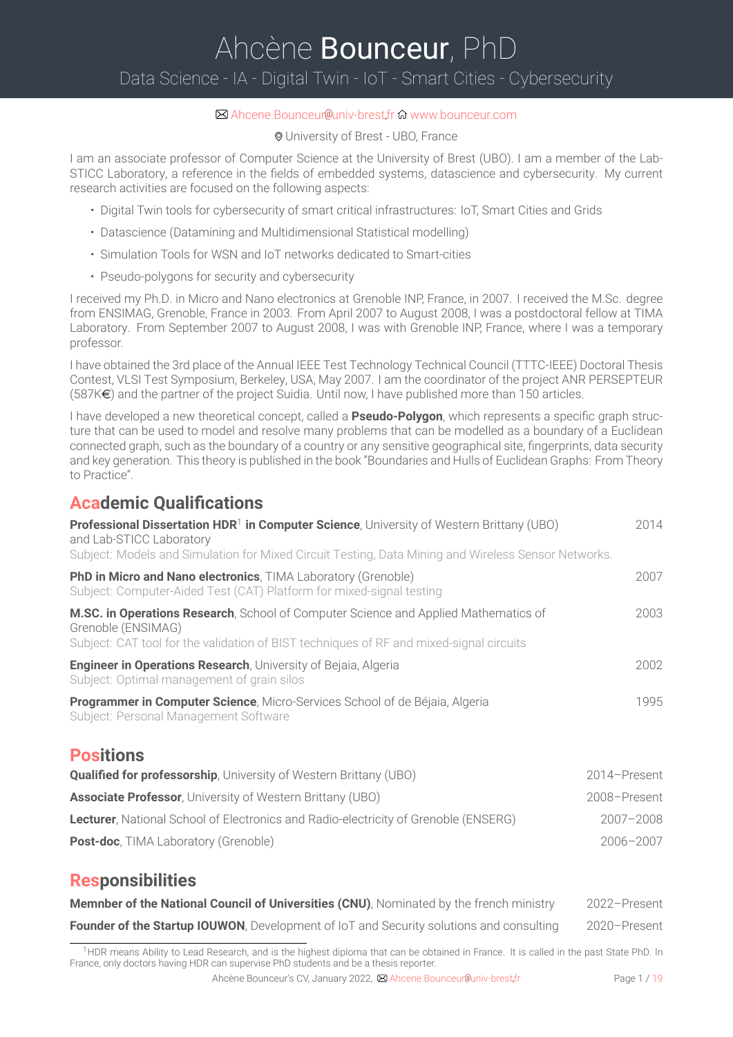# <span id="page-0-0"></span>Ahcène Bounceur, PhD Data Science - IA - Digital Twin - IoT - Smart Cities - Cybersecurity

### $✓$  Ahcene.Bounceur @univ-brest.fr n [www.bounceur.com](https://bounceur.com)

University of Brest - UBO, France

I am an associate professor of Computer Science at the University of Brest (UBO). I am a member of the Lab-STICC Laboratory, a reference in the fields of embedded systems, datascience and cybersecurity. My current research activities are focused on the following aspects:

- Digital Twin tools for cybersecurity of smart critical infrastructures: IoT, Smart Cities and Grids
- Datascience (Datamining and Multidimensional Statistical modelling)
- Simulation Tools for WSN and IoT networks dedicated to Smart-cities
- Pseudo-polygons for security and cybersecurity

I received my Ph.D. in Micro and Nano electronics at Grenoble INP, France, in 2007. I received the M.Sc. degree from ENSIMAG, Grenoble, France in 2003. From April 2007 to August 2008, I was a postdoctoral fellow at TIMA Laboratory. From September 2007 to August 2008, I was with Grenoble INP, France, where I was a temporary professor.

I have obtained the 3rd place of the Annual IEEE Test Technology Technical Council (TTTC-IEEE) Doctoral Thesis Contest, VLSI Test Symposium, Berkeley, USA, May 2007. I am the coordinator of the project ANR PERSEPTEUR  $(587K $\infty$ ) and the partner of the project Suidia. Until now, I have published more than 150 articles.$ 

I have developed a new theoretical concept, called a **Pseudo-Polygon**, which represents a specific graph structure that can be used to model and resolve many problems that can be modelled as a boundary of a Euclidean connected graph, such as the boundary of a country or any sensitive geographical site, fingerprints, data security and key generation. This theory is published in the book "Boundaries and Hulls of Euclidean Graphs: From Theory to Practice".

### **Academic Qualifications**

| Professional Dissertation HDR <sup>1</sup> in Computer Science, University of Western Brittany (UBO)<br>and Lab-STICC Laboratory                                                                     | 2014          |
|------------------------------------------------------------------------------------------------------------------------------------------------------------------------------------------------------|---------------|
| Subject: Models and Simulation for Mixed Circuit Testing, Data Mining and Wireless Sensor Networks.                                                                                                  |               |
| <b>PhD in Micro and Nano electronics</b> , TIMA Laboratory (Grenoble)<br>Subject: Computer-Aided Test (CAT) Platform for mixed-signal testing                                                        | 2007          |
| M.SC. in Operations Research, School of Computer Science and Applied Mathematics of<br>Grenoble (ENSIMAG)<br>Subject: CAT tool for the validation of BIST techniques of RF and mixed-signal circuits | 2003          |
|                                                                                                                                                                                                      |               |
| <b>Engineer in Operations Research, University of Bejaia, Algeria</b><br>Subject: Optimal management of grain silos                                                                                  | 2002          |
| Programmer in Computer Science, Micro-Services School of de Béjaia, Algeria<br>Subject: Personal Management Software                                                                                 | 1995          |
| <b>Positions</b>                                                                                                                                                                                     |               |
| <b>Qualified for professorship, University of Western Brittany (UBO)</b>                                                                                                                             | 2014-Present  |
| <b>Associate Professor</b> , University of Western Brittany (UBO)                                                                                                                                    | 2008-Present  |
| <b>Lecturer</b> , National School of Electronics and Radio-electricity of Grenoble (ENSERG)                                                                                                          | $2007 - 2008$ |
| <b>Post-doc, TIMA Laboratory (Grenoble)</b>                                                                                                                                                          | $2006 - 2007$ |

### **Responsibilities**

| Memnber of the National Council of Universities (CNU), Nominated by the french ministry | 2022-Present |
|-----------------------------------------------------------------------------------------|--------------|
| Founder of the Startup IOUWON, Development of IoT and Security solutions and consulting | 2020-Present |

<sup>1</sup>HDR means Ability to Lead Research, and is the highest diploma that can be obtained in France. It is called in the past State PhD. In France, only doctors having HDR can supervise PhD students and be a thesis reporter.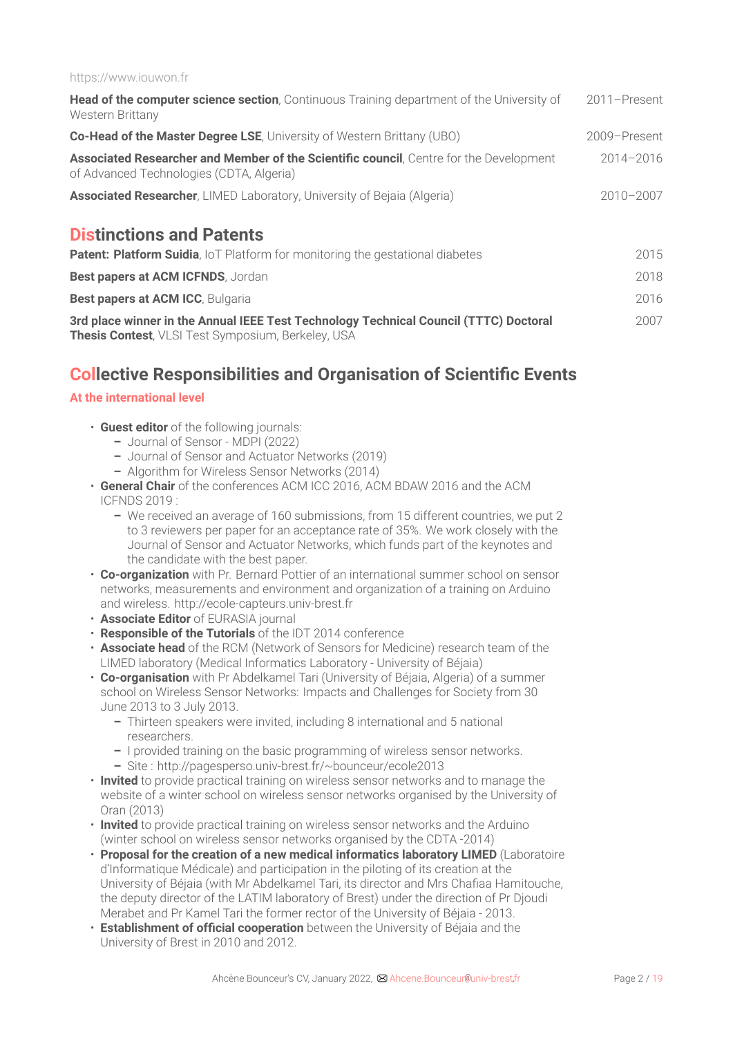#### https://www.iouwon.fr

| Head of the computer science section, Continuous Training department of the University of<br>Western Brittany                                       | 2011-Present  |
|-----------------------------------------------------------------------------------------------------------------------------------------------------|---------------|
| <b>Co-Head of the Master Degree LSE, University of Western Brittany (UBO)</b>                                                                       | 2009-Present  |
| Associated Researcher and Member of the Scientific council, Centre for the Development<br>of Advanced Technologies (CDTA, Algeria)                  | $2014 - 2016$ |
| <b>Associated Researcher, LIMED Laboratory, University of Bejaia (Algeria)</b>                                                                      | $2010 - 2007$ |
| <b>Distinctions and Patents</b><br><b>Patent: Platform Suidia, IoT Platform for monitoring the gestational diabetes</b>                             | 2015          |
| Best papers at ACM ICFNDS, Jordan                                                                                                                   | 2018          |
| Best papers at ACM ICC, Bulgaria                                                                                                                    | 2016          |
| 3rd place winner in the Annual IEEE Test Technology Technical Council (TTTC) Doctoral<br><b>Thesis Contest</b> , VLSI Test Symposium, Berkeley, USA | 2007          |

### **Collective Responsibilities and Organisation of Scientific Events**

### **At the [international](#page-0-0) level**

- **Guest editor** of the following journals:
	- **–** Journal of Sensor MDPI (2022)
	- **–** Journal of Sensor and Actuator Networks (2019)
	- **–** Algorithm for Wireless Sensor Networks (2014)
- **General Chair** of the conferences ACM ICC 2016, ACM BDAW 2016 and the ACM ICFNDS 2019 :
	- **–** We received an average of 160 submissions, from 15 different countries, we put 2 to 3 reviewers per paper for an acceptance rate of 35%. We work closely with the Journal of Sensor and Actuator Networks, which funds part of the keynotes and the candidate with the best paper.
- **Co-organization** with Pr. Bernard Pottier of an international summer school on sensor networks, measurements and environment and organization of a training on Arduino and wireless. http://ecole-capteurs.univ-brest.fr
- **Associate Editor** of EURASIA journal
- **Responsible of the Tutorials** of the IDT 2014 conference
- **Associate head** of the RCM (Network of Sensors for Medicine) research team of the LIMED laboratory (Medical Informatics Laboratory - University of Béjaia)
- **Co-organisation** with Pr Abdelkamel Tari (University of Béjaia, Algeria) of a summer school on Wireless Sensor Networks: Impacts and Challenges for Society from 30 June 2013 to 3 July 2013.
	- **–** Thirteen speakers were invited, including 8 international and 5 national researchers.
	- **–** I provided training on the basic programming of wireless sensor networks.
	- **–** Site : http://pagesperso.univ-brest.fr/~bounceur/ecole2013
- **Invited** to provide practical training on wireless sensor networks and to manage the website of a winter school on wireless sensor networks organised by the University of Oran (2013)
- **Invited** to provide practical training on wireless sensor networks and the Arduino (winter school on wireless sensor networks organised by the CDTA -2014)
- **Proposal for the creation of a new medical informatics laboratory LIMED** (Laboratoire d'Informatique Médicale) and participation in the piloting of its creation at the University of Béjaia (with Mr Abdelkamel Tari, its director and Mrs Chafiaa Hamitouche, the deputy director of the LATIM laboratory of Brest) under the direction of Pr Djoudi Merabet and Pr Kamel Tari the former rector of the University of Béjaia - 2013.
- **Establishment of official cooperation** between the University of Béjaia and the University of Brest in 2010 and 2012.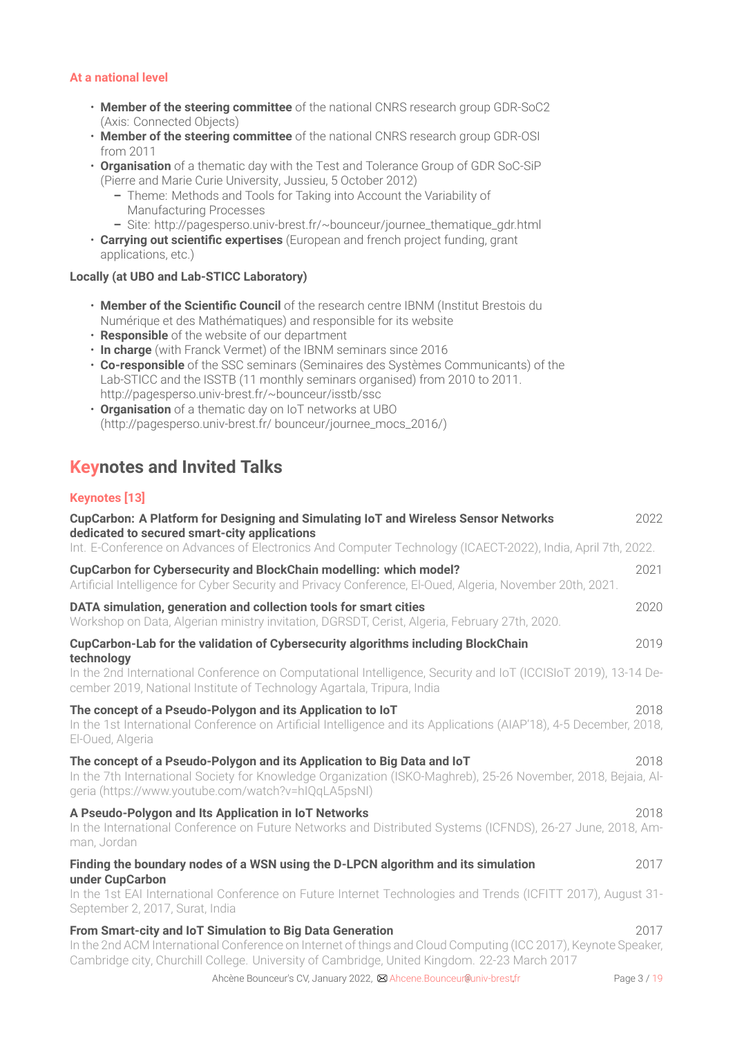### **At a [national](#page-0-0) level**

- **Member of the steering committee** of the national CNRS research group GDR-SoC2 (Axis: Connected Objects)
- **Member of the steering committee** of the national CNRS research group GDR-OSI from 2011
- **Organisation** of a thematic day with the Test and Tolerance Group of GDR SoC-SiP (Pierre and Marie Curie University, Jussieu, 5 October 2012)
	- **–** Theme: Methods and Tools for Taking into Account the Variability of Manufacturing Processes
	- **–** Site: http://pagesperso.univ-brest.fr/~bounceur/journee\_thematique\_gdr.html
- **Carrying out scientific expertises** (European and french project funding, grant applications, etc.)

### **Locally (at UBO and Lab-STICC Laboratory)**

- **Member of the Scientific Council** of the research centre IBNM (Institut Brestois du Numérique et des Mathématiques) and responsible for its website
- **Responsible** of the website of our department
- **In charge** (with Franck Vermet) of the IBNM seminars since 2016
- **Co-responsible** of the SSC seminars (Seminaires des Systèmes Communicants) of the Lab-STICC and the ISSTB (11 monthly seminars organised) from 2010 to 2011. http://pagesperso.univ-brest.fr/~bounceur/isstb/ssc
- **Organisation** of a thematic day on IoT networks at UBO (http://pagesperso.univ-brest.fr/ bounceur/journee\_mocs\_2016/)

### **Keynotes and Invited Talks**

### **[Keynotes](#page-0-0) [13]**

| CupCarbon: A Platform for Designing and Simulating IoT and Wireless Sensor Networks<br>dedicated to secured smart-city applications                                                                                                                                         | 2022        |
|-----------------------------------------------------------------------------------------------------------------------------------------------------------------------------------------------------------------------------------------------------------------------------|-------------|
| Int. E-Conference on Advances of Electronics And Computer Technology (ICAECT-2022), India, April 7th, 2022.                                                                                                                                                                 |             |
| <b>CupCarbon for Cybersecurity and BlockChain modelling: which model?</b><br>Artificial Intelligence for Cyber Security and Privacy Conference, El-Oued, Algeria, November 20th, 2021.                                                                                      | 2021        |
| DATA simulation, generation and collection tools for smart cities<br>Workshop on Data, Algerian ministry invitation, DGRSDT, Cerist, Algeria, February 27th, 2020.                                                                                                          | 2020        |
| CupCarbon-Lab for the validation of Cybersecurity algorithms including BlockChain                                                                                                                                                                                           | 2019        |
| technology<br>In the 2nd International Conference on Computational Intelligence, Security and IoT (ICCISIoT 2019), 13-14 De-<br>cember 2019, National Institute of Technology Agartala, Tripura, India                                                                      |             |
| The concept of a Pseudo-Polygon and its Application to loT<br>In the 1st International Conference on Artificial Intelligence and its Applications (AIAP'18), 4-5 December, 2018,<br>El-Oued, Algeria                                                                        | 2018        |
| The concept of a Pseudo-Polygon and its Application to Big Data and IoT<br>In the 7th International Society for Knowledge Organization (ISKO-Maghreb), 25-26 November, 2018, Bejaia, Al-<br>geria (https://www.youtube.com/watch?v=hIQqLA5psNI)                             | 2018        |
| A Pseudo-Polygon and Its Application in IoT Networks<br>In the International Conference on Future Networks and Distributed Systems (ICFNDS), 26-27 June, 2018, Am-<br>man, Jordan                                                                                           | 2018        |
| Finding the boundary nodes of a WSN using the D-LPCN algorithm and its simulation<br>under CupCarbon                                                                                                                                                                        | 2017        |
| In the 1st EAI International Conference on Future Internet Technologies and Trends (ICFITT 2017), August 31-<br>September 2, 2017, Surat, India                                                                                                                             |             |
| From Smart-city and IoT Simulation to Big Data Generation<br>In the 2nd ACM International Conference on Internet of things and Cloud Computing (ICC 2017), Keynote Speaker,<br>Cambridge city, Churchill College. University of Cambridge, United Kingdom. 22-23 March 2017 | 2017        |
| Ahcène Bounceur's CV, January 2022, ⊠ Ahcene. Bounceur@univ-brest.fr                                                                                                                                                                                                        | Page 3 / 19 |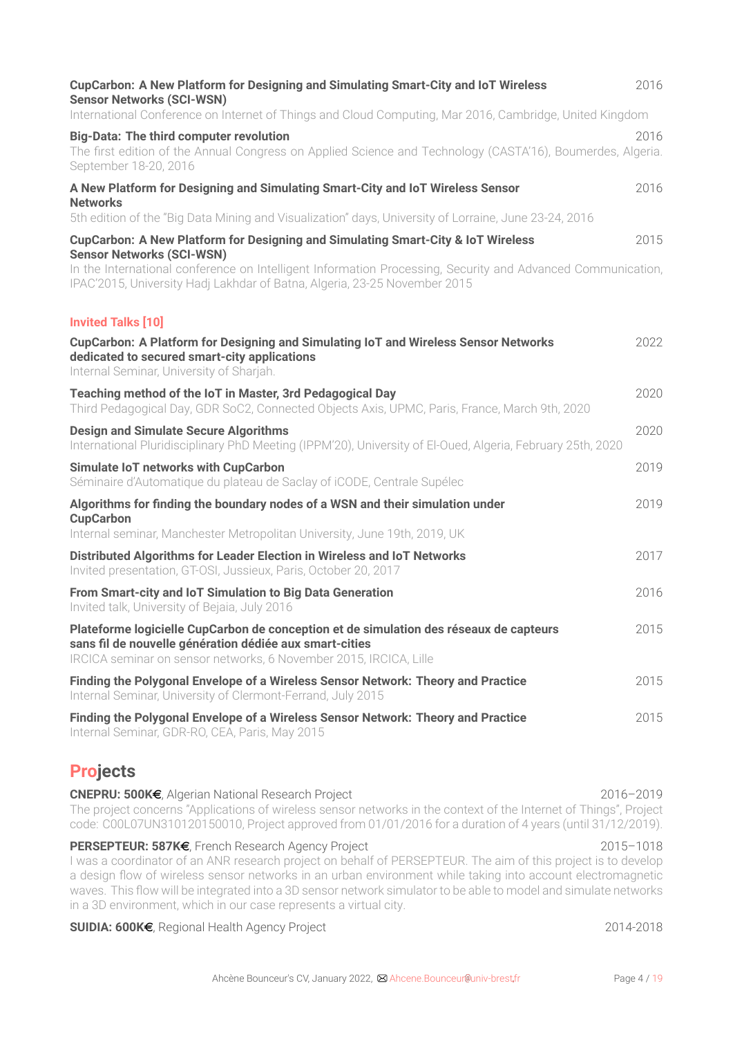| CupCarbon: A New Platform for Designing and Simulating Smart-City and IoT Wireless<br><b>Sensor Networks (SCI-WSN)</b>                                                                                                                                                                                                                                                                                                                                                     | 2016          |
|----------------------------------------------------------------------------------------------------------------------------------------------------------------------------------------------------------------------------------------------------------------------------------------------------------------------------------------------------------------------------------------------------------------------------------------------------------------------------|---------------|
| International Conference on Internet of Things and Cloud Computing, Mar 2016, Cambridge, United Kingdom                                                                                                                                                                                                                                                                                                                                                                    |               |
| <b>Big-Data: The third computer revolution</b><br>The first edition of the Annual Congress on Applied Science and Technology (CASTA'16), Boumerdes, Algeria.<br>September 18-20, 2016                                                                                                                                                                                                                                                                                      | 2016          |
| A New Platform for Designing and Simulating Smart-City and IoT Wireless Sensor<br><b>Networks</b>                                                                                                                                                                                                                                                                                                                                                                          | 2016          |
| 5th edition of the "Big Data Mining and Visualization" days, University of Lorraine, June 23-24, 2016                                                                                                                                                                                                                                                                                                                                                                      |               |
| CupCarbon: A New Platform for Designing and Simulating Smart-City & IoT Wireless<br><b>Sensor Networks (SCI-WSN)</b>                                                                                                                                                                                                                                                                                                                                                       | 2015          |
| In the International conference on Intelligent Information Processing, Security and Advanced Communication,<br>IPAC'2015, University Hadj Lakhdar of Batna, Algeria, 23-25 November 2015                                                                                                                                                                                                                                                                                   |               |
| <b>Invited Talks [10]</b>                                                                                                                                                                                                                                                                                                                                                                                                                                                  |               |
| CupCarbon: A Platform for Designing and Simulating IoT and Wireless Sensor Networks<br>dedicated to secured smart-city applications<br>Internal Seminar, University of Sharjah.                                                                                                                                                                                                                                                                                            | 2022          |
| Teaching method of the IoT in Master, 3rd Pedagogical Day<br>Third Pedagogical Day, GDR SoC2, Connected Objects Axis, UPMC, Paris, France, March 9th, 2020                                                                                                                                                                                                                                                                                                                 | 2020          |
| <b>Design and Simulate Secure Algorithms</b><br>International Pluridisciplinary PhD Meeting (IPPM'20), University of El-Oued, Algeria, February 25th, 2020                                                                                                                                                                                                                                                                                                                 | 2020          |
| Simulate IoT networks with CupCarbon<br>Séminaire d'Automatique du plateau de Saclay of iCODE, Centrale Supélec                                                                                                                                                                                                                                                                                                                                                            | 2019          |
| Algorithms for finding the boundary nodes of a WSN and their simulation under<br><b>CupCarbon</b><br>Internal seminar, Manchester Metropolitan University, June 19th, 2019, UK                                                                                                                                                                                                                                                                                             | 2019          |
|                                                                                                                                                                                                                                                                                                                                                                                                                                                                            |               |
| Distributed Algorithms for Leader Election in Wireless and IoT Networks<br>Invited presentation, GT-OSI, Jussieux, Paris, October 20, 2017                                                                                                                                                                                                                                                                                                                                 | 2017          |
| From Smart-city and IoT Simulation to Big Data Generation<br>Invited talk, University of Bejaia, July 2016                                                                                                                                                                                                                                                                                                                                                                 | 2016          |
| Plateforme logicielle CupCarbon de conception et de simulation des réseaux de capteurs<br>sans fil de nouvelle génération dédiée aux smart-cities<br>IRCICA seminar on sensor networks, 6 November 2015, IRCICA, Lille                                                                                                                                                                                                                                                     | 2015          |
| Finding the Polygonal Envelope of a Wireless Sensor Network: Theory and Practice<br>Internal Seminar, University of Clermont-Ferrand, July 2015                                                                                                                                                                                                                                                                                                                            | 2015          |
| Finding the Polygonal Envelope of a Wireless Sensor Network: Theory and Practice<br>Internal Seminar, GDR-RO, CEA, Paris, May 2015                                                                                                                                                                                                                                                                                                                                         | 2015          |
| <b>Projects</b>                                                                                                                                                                                                                                                                                                                                                                                                                                                            |               |
| CNEPRU: 500K€, Algerian National Research Project<br>The project concerns "Applications of wireless sensor networks in the context of the Internet of Things", Project<br>code: C00L07UN310120150010, Project approved from 01/01/2016 for a duration of 4 years (until 31/12/2019).                                                                                                                                                                                       | 2016-2019     |
| PERSEPTEUR: 587K€, French Research Agency Project<br>I was a coordinator of an ANR research project on behalf of PERSEPTEUR. The aim of this project is to develop<br>a design flow of wireless sensor networks in an urban environment while taking into account electromagnetic<br>waves. This flow will be integrated into a 3D sensor network simulator to be able to model and simulate networks<br>in a 3D environment, which in our case represents a virtual city. | $2015 - 1018$ |

### **SUIDIA: 600K€**, Regional Health Agency Project 2014-2018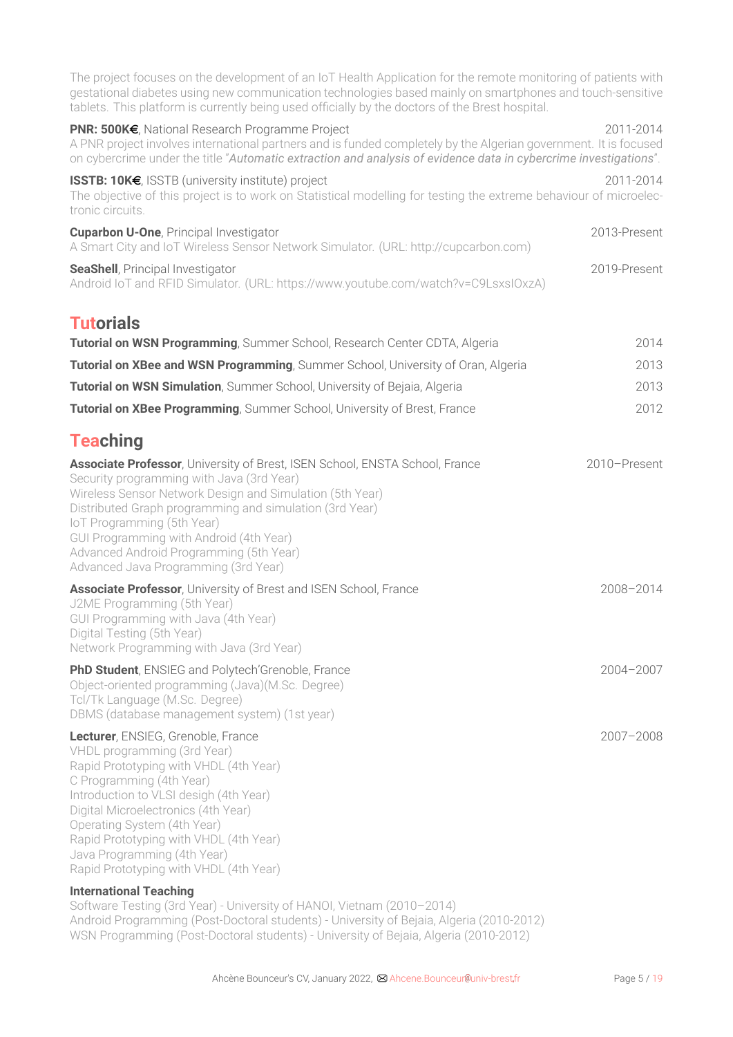The project focuses on the development of an IoT Health Application for the remote monitoring of patients with gestational diabetes using new communication technologies based mainly on smartphones and touch-sensitive tablets. This platform is currently being used officially by the doctors of the Brest hospital.

| PNR: 500K€, National Research Programme Project<br>A PNR project involves international partners and is funded completely by the Algerian government. It is focused<br>on cybercrime under the title "Automatic extraction and analysis of evidence data in cybercrime investigations".                                                                                                                     | 2011-2014     |
|-------------------------------------------------------------------------------------------------------------------------------------------------------------------------------------------------------------------------------------------------------------------------------------------------------------------------------------------------------------------------------------------------------------|---------------|
| <b>ISSTB: 10K€, ISSTB (university institute) project</b><br>The objective of this project is to work on Statistical modelling for testing the extreme behaviour of microelec-<br>tronic circuits.                                                                                                                                                                                                           | 2011-2014     |
| <b>Cuparbon U-One, Principal Investigator</b><br>A Smart City and IoT Wireless Sensor Network Simulator. (URL: http://cupcarbon.com)                                                                                                                                                                                                                                                                        | 2013-Present  |
| <b>SeaShell, Principal Investigator</b><br>Android IoT and RFID Simulator. (URL: https://www.youtube.com/watch?v=C9LsxsIOxzA)                                                                                                                                                                                                                                                                               | 2019-Present  |
| <b>Tutorials</b>                                                                                                                                                                                                                                                                                                                                                                                            |               |
| Tutorial on WSN Programming, Summer School, Research Center CDTA, Algeria                                                                                                                                                                                                                                                                                                                                   | 2014          |
| Tutorial on XBee and WSN Programming, Summer School, University of Oran, Algeria                                                                                                                                                                                                                                                                                                                            | 2013          |
| Tutorial on WSN Simulation, Summer School, University of Bejaia, Algeria                                                                                                                                                                                                                                                                                                                                    | 2013          |
| <b>Tutorial on XBee Programming, Summer School, University of Brest, France</b>                                                                                                                                                                                                                                                                                                                             | 2012          |
| <b>Teaching</b>                                                                                                                                                                                                                                                                                                                                                                                             |               |
| Associate Professor, University of Brest, ISEN School, ENSTA School, France<br>Security programming with Java (3rd Year)<br>Wireless Sensor Network Design and Simulation (5th Year)<br>Distributed Graph programming and simulation (3rd Year)<br>IoT Programming (5th Year)<br>GUI Programming with Android (4th Year)<br>Advanced Android Programming (5th Year)<br>Advanced Java Programming (3rd Year) | 2010-Present  |
| <b>Associate Professor</b> , University of Brest and ISEN School, France<br>J2ME Programming (5th Year)<br>GUI Programming with Java (4th Year)<br>Digital Testing (5th Year)<br>Network Programming with Java (3rd Year)                                                                                                                                                                                   | 2008-2014     |
| PhD Student, ENSIEG and Polytech'Grenoble, France<br>Object-oriented programming (Java)(M.Sc. Degree)<br>Tcl/Tk Language (M.Sc. Degree)<br>DBMS (database management system) (1st year)                                                                                                                                                                                                                     | 2004-2007     |
| Lecturer, ENSIEG, Grenoble, France<br>VHDL programming (3rd Year)<br>Rapid Prototyping with VHDL (4th Year)<br>C Programming (4th Year)<br>Introduction to VLSI desigh (4th Year)<br>Digital Microelectronics (4th Year)<br>Operating System (4th Year)<br>Rapid Prototyping with VHDL (4th Year)<br>Java Programming (4th Year)<br>Rapid Prototyping with VHDL (4th Year)                                  | $2007 - 2008$ |
| <b>International Teaching</b><br>Software Tosting (3rd Voar) - University of HANOL Victor (2010-2014                                                                                                                                                                                                                                                                                                        |               |

Software Testing (3rd Year) - University of HANOI, Vietnam (2010–2014) Android Programming (Post-Doctoral students) - University of Bejaia, Algeria (2010-2012) WSN Programming (Post-Doctoral students) - University of Bejaia, Algeria (2010-2012)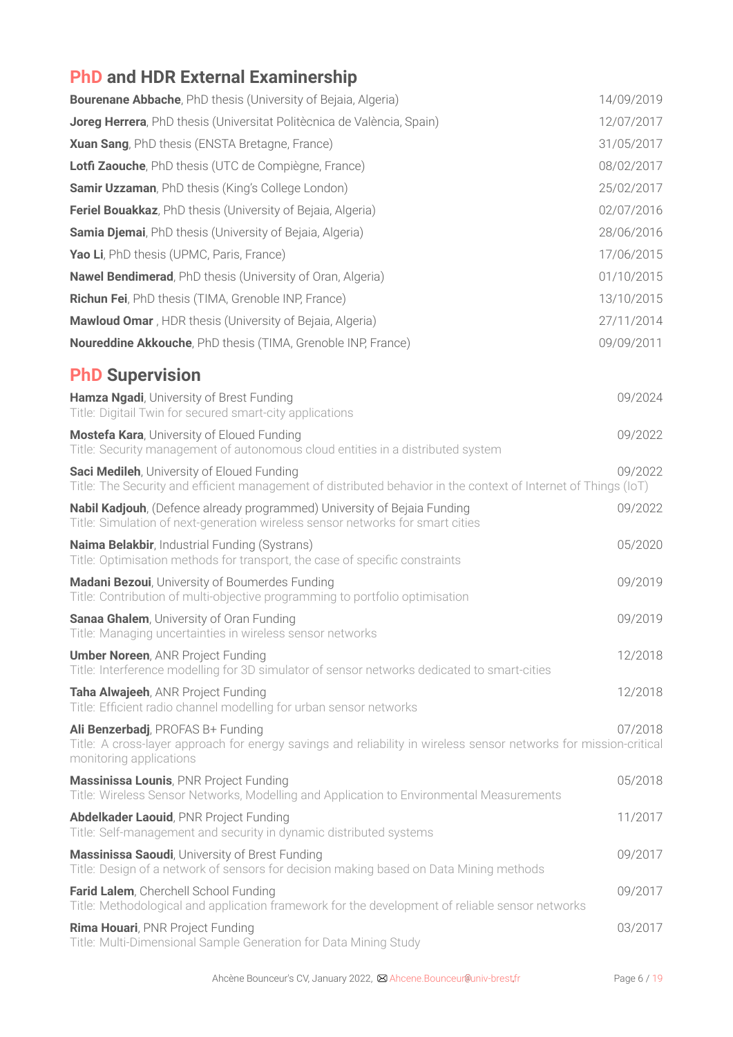## **PhD and HDR External Examinership**

| <b>Bourenane Abbache</b> , PhD thesis (University of Bejaia, Algeria)                                                                                                             | 14/09/2019 |
|-----------------------------------------------------------------------------------------------------------------------------------------------------------------------------------|------------|
| Joreg Herrera, PhD thesis (Universitat Politècnica de València, Spain)                                                                                                            | 12/07/2017 |
| Xuan Sang, PhD thesis (ENSTA Bretagne, France)                                                                                                                                    | 31/05/2017 |
| Lotfi Zaouche, PhD thesis (UTC de Compiègne, France)                                                                                                                              | 08/02/2017 |
| <b>Samir Uzzaman, PhD thesis (King's College London)</b>                                                                                                                          | 25/02/2017 |
| <b>Feriel Bouakkaz</b> , PhD thesis (University of Bejaia, Algeria)                                                                                                               | 02/07/2016 |
| <b>Samia Djemai</b> , PhD thesis (University of Bejaia, Algeria)                                                                                                                  | 28/06/2016 |
| Yao Li, PhD thesis (UPMC, Paris, France)                                                                                                                                          | 17/06/2015 |
| <b>Nawel Bendimerad, PhD thesis (University of Oran, Algeria)</b>                                                                                                                 | 01/10/2015 |
| Richun Fei, PhD thesis (TIMA, Grenoble INP, France)                                                                                                                               | 13/10/2015 |
| Mawloud Omar, HDR thesis (University of Bejaia, Algeria)                                                                                                                          | 27/11/2014 |
| <b>Noureddine Akkouche</b> , PhD thesis (TIMA, Grenoble INP, France)                                                                                                              | 09/09/2011 |
| <b>PhD Supervision</b>                                                                                                                                                            |            |
| Hamza Ngadi, University of Brest Funding<br>Title: Digitail Twin for secured smart-city applications                                                                              | 09/2024    |
| <b>Mostefa Kara, University of Eloued Funding</b><br>Title: Security management of autonomous cloud entities in a distributed system                                              | 09/2022    |
| Saci Medileh, University of Eloued Funding<br>Title: The Security and efficient management of distributed behavior in the context of Internet of Things (IoT)                     | 09/2022    |
| Nabil Kadjouh, (Defence already programmed) University of Bejaia Funding<br>Title: Simulation of next-generation wireless sensor networks for smart cities                        | 09/2022    |
| Naima Belakbir, Industrial Funding (Systrans)<br>Title: Optimisation methods for transport, the case of specific constraints                                                      | 05/2020    |
| <b>Madani Bezoui</b> , University of Boumerdes Funding<br>Title: Contribution of multi-objective programming to portfolio optimisation                                            | 09/2019    |
| Sanaa Ghalem, University of Oran Funding<br>Title: Managing uncertainties in wireless sensor networks                                                                             | 09/2019    |
| <b>Umber Noreen, ANR Project Funding</b><br>Title: Interference modelling for 3D simulator of sensor networks dedicated to smart-cities                                           | 12/2018    |
| Taha Alwajeeh, ANR Project Funding<br>Title: Efficient radio channel modelling for urban sensor networks                                                                          | 12/2018    |
| Ali Benzerbadj, PROFAS B+ Funding<br>Title: A cross-layer approach for energy savings and reliability in wireless sensor networks for mission-critical<br>monitoring applications | 07/2018    |
| <b>Massinissa Lounis, PNR Project Funding</b><br>Title: Wireless Sensor Networks, Modelling and Application to Environmental Measurements                                         | 05/2018    |
| Abdelkader Laouid, PNR Project Funding<br>Title: Self-management and security in dynamic distributed systems                                                                      | 11/2017    |
| Massinissa Saoudi, University of Brest Funding<br>Title: Design of a network of sensors for decision making based on Data Mining methods                                          | 09/2017    |
| Farid Lalem, Cherchell School Funding<br>Title: Methodological and application framework for the development of reliable sensor networks                                          | 09/2017    |
| Rima Houari, PNR Project Funding<br>Title: Multi-Dimensional Sample Generation for Data Mining Study                                                                              | 03/2017    |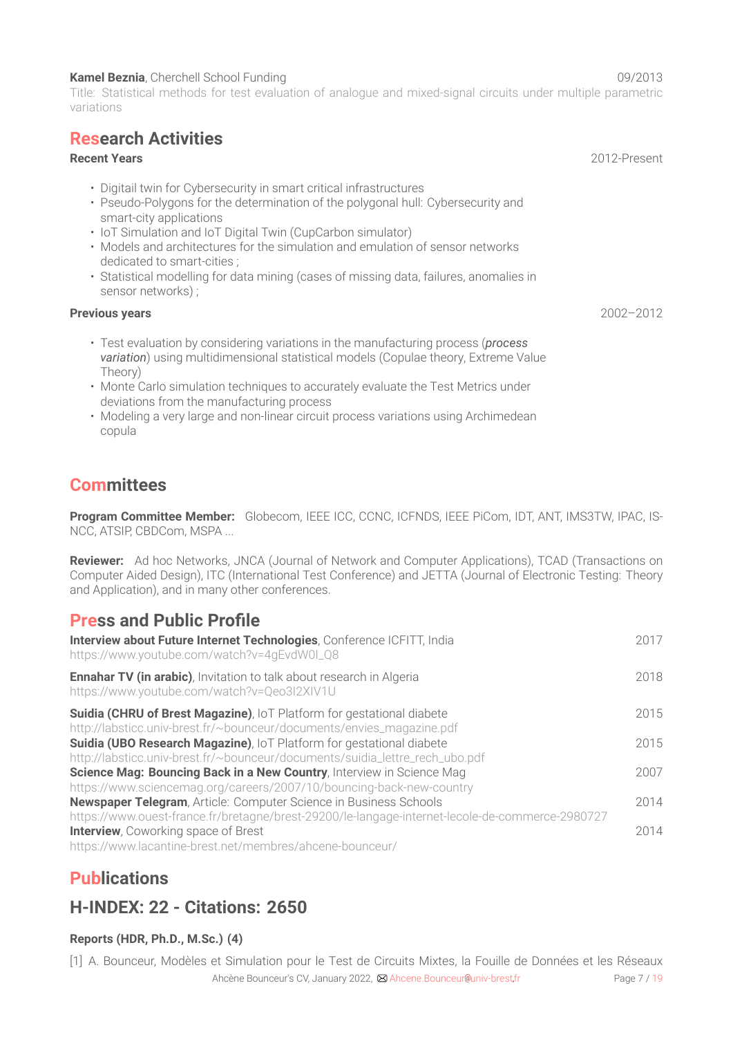### **Kamel Beznia**, Cherchell School Funding 09/2013

Title: Statistical methods for test evaluation of analogue and mixed-signal circuits under multiple parametric variations

### **Research Activities**

### **Recent Years** 2012-Present

- Digitail twin for Cybersecurity in smart critical infrastructures
- Pseudo-Polygons for the determination of the polygonal hull: Cybersecurity and smart-city applications
- IoT Simulation and IoT Digital Twin (CupCarbon simulator)
- Models and architectures for the simulation and emulation of sensor networks dedicated to smart-cities ;
- Statistical modelling for data mining (cases of missing data, failures, anomalies in sensor networks) ;

### **Previous years** 2002–2012

- Test evaluation by considering variations in the manufacturing process (*process variation*) using multidimensional statistical models (Copulae theory, Extreme Value Theory)
- Monte Carlo simulation techniques to accurately evaluate the Test Metrics under deviations from the manufacturing process
- Modeling a very large and non-linear circuit process variations using Archimedean copula

### **Committees**

**Program Committee Member:** Globecom, IEEE ICC, CCNC, ICFNDS, IEEE PiCom, IDT, ANT, IMS3TW, IPAC, IS-NCC, ATSIP, CBDCom, MSPA ...

**Reviewer:** Ad hoc Networks, JNCA (Journal of Network and Computer Applications), TCAD (Transactions on Computer Aided Design), ITC (International Test Conference) and JETTA (Journal of Electronic Testing: Theory and Application), and in many other conferences.

### **Press and Public Profile**

| Interview about Future Internet Technologies, Conference ICFITT, India<br>https://www.youtube.com/watch?v=4qEvdW0I_Q8                                                       | 2017 |
|-----------------------------------------------------------------------------------------------------------------------------------------------------------------------------|------|
| Ennahar TV (in arabic), Invitation to talk about research in Algeria<br>https://www.youtube.com/watch?v=Qeo3I2XIV1U                                                         | 2018 |
| Suidia (CHRU of Brest Magazine), IoT Platform for gestational diabete<br>http://labsticc.univ-brest.fr/~bounceur/documents/envies_magazine.pdf                              | 2015 |
| Suidia (UBO Research Magazine), IoT Platform for gestational diabete<br>http://labsticc.univ-brest.fr/~bounceur/documents/suidia_lettre_rech_ubo.pdf                        | 2015 |
| Science Mag: Bouncing Back in a New Country, Interview in Science Mag<br>https://www.sciencemag.org/careers/2007/10/bouncing-back-new-country                               | 2007 |
| <b>Newspaper Telegram, Article: Computer Science in Business Schools</b><br>https://www.ouest-france.fr/bretagne/brest-29200/le-langage-internet-lecole-de-commerce-2980727 | 2014 |
| <b>Interview</b> , Coworking space of Brest<br>https://www.lacantine-brest.net/membres/ahcene-bounceur/                                                                     | 2014 |

### **Publications**

### **H-INDEX: 22 - Citations: 2650**

### **Reports (HDR, Ph.D., M.Sc.) (4)**

[1] A. Bounceur, Modèles et Simulation pour le Test de Circuits Mixtes, la Fouille de Données et les Réseaux Ahcène Bounceur's CV, January 2022,  $\boxtimes$  Ahcene. Bounceur @univ-brest fr Page 7 / [19](#page-18-0)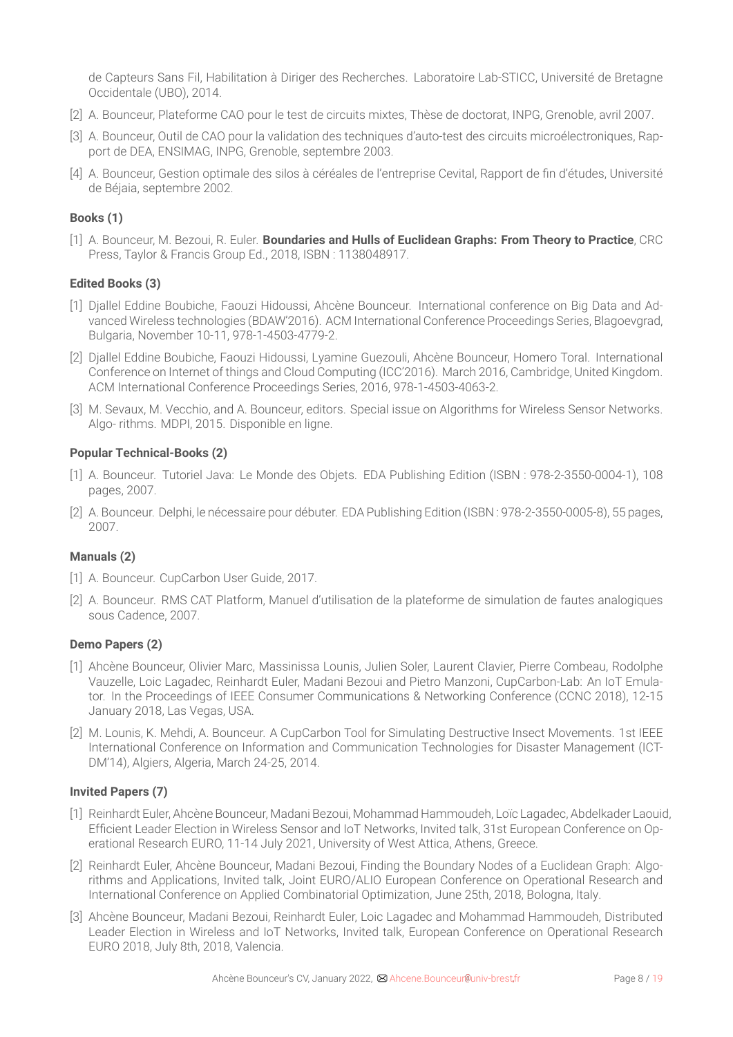de Capteurs Sans Fil, Habilitation à Diriger des Recherches. Laboratoire Lab-STICC, Université de Bretagne Occidentale (UBO), 2014.

- [2] A. Bounceur, Plateforme CAO pour le test de circuits mixtes, Thèse de doctorat, INPG, Grenoble, avril 2007.
- [3] A. Bounceur, Outil de CAO pour la validation des techniques d'auto-test des circuits microélectroniques, Rapport de DEA, ENSIMAG, INPG, Grenoble, septembre 2003.
- [4] A. Bounceur, Gestion optimale des silos à céréales de l'entreprise Cevital, Rapport de fin d'études, Université de Béjaia, septembre 2002.

### **Books (1)**

[1] A. Bounceur, M. Bezoui, R. Euler. **Boundaries and Hulls of Euclidean Graphs: From Theory to Practice**, CRC Press, Taylor & Francis Group Ed., 2018, ISBN : 1138048917.

### **Edited Books (3)**

- [1] Djallel Eddine Boubiche, Faouzi Hidoussi, Ahcène Bounceur. International conference on Big Data and Advanced Wireless technologies (BDAW'2016). ACM International Conference Proceedings Series, Blagoevgrad, Bulgaria, November 10-11, 978-1-4503-4779-2.
- [2] Djallel Eddine Boubiche, Faouzi Hidoussi, Lyamine Guezouli, Ahcène Bounceur, Homero Toral. International Conference on Internet of things and Cloud Computing (ICC'2016). March 2016, Cambridge, United Kingdom. ACM International Conference Proceedings Series, 2016, 978-1-4503-4063-2.
- [3] M. Sevaux, M. Vecchio, and A. Bounceur, editors. Special issue on Algorithms for Wireless Sensor Networks. Algo- rithms. MDPI, 2015. Disponible en ligne.

#### **Popular Technical-Books (2)**

- [1] A. Bounceur. Tutoriel Java: Le Monde des Objets. EDA Publishing Edition (ISBN : 978-2-3550-0004-1), 108 pages, 2007.
- [2] A. Bounceur. Delphi, le nécessaire pour débuter. EDA Publishing Edition (ISBN : 978-2-3550-0005-8), 55 pages, 2007.

### **Manuals (2)**

- [1] A. Bounceur. CupCarbon User Guide, 2017.
- [2] A. Bounceur. RMS CAT Platform, Manuel d'utilisation de la plateforme de simulation de fautes analogiques sous Cadence, 2007.

#### **Demo Papers (2)**

- [1] Ahcène Bounceur, Olivier Marc, Massinissa Lounis, Julien Soler, Laurent Clavier, Pierre Combeau, Rodolphe Vauzelle, Loic Lagadec, Reinhardt Euler, Madani Bezoui and Pietro Manzoni, CupCarbon-Lab: An IoT Emulator. In the Proceedings of IEEE Consumer Communications & Networking Conference (CCNC 2018), 12-15 January 2018, Las Vegas, USA.
- [2] M. Lounis, K. Mehdi, A. Bounceur. A CupCarbon Tool for Simulating Destructive Insect Movements. 1st IEEE International Conference on Information and Communication Technologies for Disaster Management (ICT-DM'14), Algiers, Algeria, March 24-25, 2014.

### **Invited Papers (7)**

- [1] Reinhardt Euler, Ahcène Bounceur, Madani Bezoui, Mohammad Hammoudeh, Loïc Lagadec, Abdelkader Laouid, Efficient Leader Election in Wireless Sensor and IoT Networks, Invited talk, 31st European Conference on Operational Research EURO, 11-14 July 2021, University of West Attica, Athens, Greece.
- [2] Reinhardt Euler, Ahcène Bounceur, Madani Bezoui, Finding the Boundary Nodes of a Euclidean Graph: Algorithms and Applications, Invited talk, Joint EURO/ALIO European Conference on Operational Research and International Conference on Applied Combinatorial Optimization, June 25th, 2018, Bologna, Italy.
- [3] Ahcène Bounceur, Madani Bezoui, Reinhardt Euler, Loic Lagadec and Mohammad Hammoudeh, Distributed Leader Election in Wireless and IoT Networks, Invited talk, European Conference on Operational Research EURO 2018, July 8th, 2018, Valencia.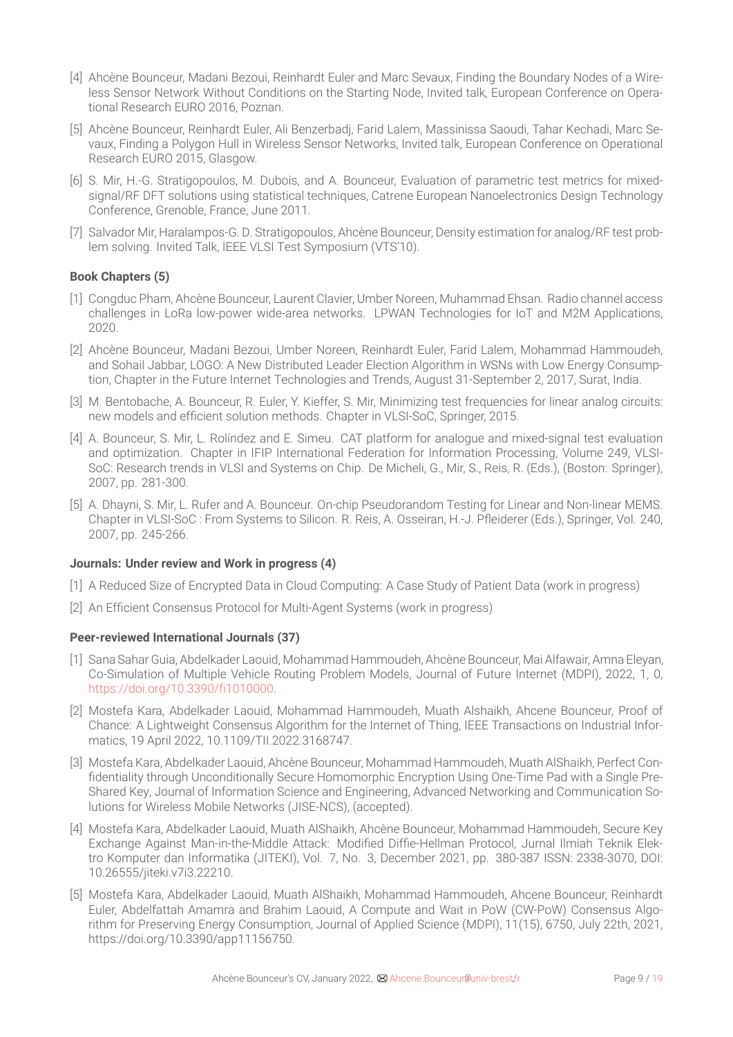- [4] Ahcène Bounceur, Madani Bezoui, Reinhardt Euler and Marc Sevaux, Finding the Boundary Nodes of a Wireless Sensor Network Without Conditions on the Starting Node, Invited talk, European Conference on Operational Research EURO 2016, Poznan.
- [5] Ahcène Bounceur, Reinhardt Euler, Ali Benzerbadj, Farid Lalem, Massinissa Saoudi, Tahar Kechadi, Marc Sevaux, Finding a Polygon Hull in Wireless Sensor Networks, Invited talk, European Conference on Operational Research EURO 2015, Glasgow.
- [6] S. Mir, H.-G. Stratigopoulos, M. Dubois, and A. Bounceur, Evaluation of parametric test metrics for mixedsignal/RF DFT solutions using statistical techniques, Catrene European Nanoelectronics Design Technology Conference, Grenoble, France, June 2011.
- [7] Salvador Mir, Haralampos-G. D. Stratigopoulos, Ahcène Bounceur, Density estimation for analog/RF test problem solving. Invited Talk, IEEE VLSI Test Symposium (VTS'10).

### **Book Chapters (5)**

- [1] Congduc Pham, Ahcène Bounceur, Laurent Clavier, Umber Noreen, Muhammad Ehsan. Radio channel access challenges in LoRa low-power wide-area networks. LPWAN Technologies for IoT and M2M Applications, 2020.
- [2] Ahcène Bounceur, Madani Bezoui, Umber Noreen, Reinhardt Euler, Farid Lalem, Mohammad Hammoudeh, and Sohail Jabbar, LOGO: A New Distributed Leader Election Algorithm in WSNs with Low Energy Consumption, Chapter in the Future Internet Technologies and Trends, August 31-September 2, 2017, Surat, India.
- [3] M. Bentobache, A. Bounceur, R. Euler, Y. Kieffer, S. Mir, Minimizing test frequencies for linear analog circuits: new models and efficient solution methods. Chapter in VLSI-SoC, Springer, 2015.
- [4] A. Bounceur, S. Mir, L. Rolíndez and E. Simeu. CAT platform for analogue and mixed-signal test evaluation and optimization. Chapter in IFIP International Federation for Information Processing, Volume 249, VLSI-SoC: Research trends in VLSI and Systems on Chip. De Micheli, G., Mir, S., Reis, R. (Eds.), (Boston: Springer), 2007, pp. 281-300.
- [5] A. Dhayni, S. Mir, L. Rufer and A. Bounceur. On-chip Pseudorandom Testing for Linear and Non-linear MEMS. Chapter in VLSI-SoC : From Systems to Silicon. R. Reis, A. Osseiran, H.-J. Pfleiderer (Eds.), Springer, Vol. 240, 2007, pp. 245-266.

### **Journals: Under review and Work in progress (4)**

- [1] A Reduced Size of Encrypted Data in Cloud Computing: A Case Study of Patient Data (work in progress)
- [2] An Efficient Consensus Protocol for Multi-Agent Systems (work in progress)

### **Peer-reviewed International Journals (37)**

- [1] Sana SaharGuia, Abdelkader Laouid, Mohammad Hammoudeh, Ahcène Bounceur, Mai Alfawair, Amna Eleyan, Co-Simulation of Multiple Vehicle Routing Problem Models, Journal of Future Internet (MDPI), 2022, 1, 0, <https://doi.org/10.3390/fi1010000>.
- [2] Mostefa Kara, Abdelkader Laouid, Mohammad Hammoudeh, Muath Alshaikh, Ahcene Bounceur, Proof of Chance: A Lightweight Consensus Algorithm for the Internet of Thing, IEEE Transactions on Industrial Informatics, 19 April 2022, 10.1109/TII.2022.3168747.
- [3] Mostefa Kara, Abdelkader Laouid, Ahcène Bounceur, Mohammad Hammoudeh, Muath AlShaikh, Perfect Confidentiality through Unconditionally Secure Homomorphic Encryption Using One-Time Pad with a Single Pre-Shared Key, Journal of Information Science and Engineering, Advanced Networking and Communication Solutions for Wireless Mobile Networks (JISE-NCS), (accepted).
- [4] Mostefa Kara, Abdelkader Laouid, Muath AlShaikh, Ahcène Bounceur, Mohammad Hammoudeh, Secure Key Exchange Against Man-in-the-Middle Attack: Modified Diffie-Hellman Protocol, Jurnal Ilmiah Teknik Elektro Komputer dan Informatika (JITEKI), Vol. 7, No. 3, December 2021, pp. 380-387 ISSN: 2338-3070, DOI: 10.26555/jiteki.v7i3.22210.
- [5] Mostefa Kara, Abdelkader Laouid, Muath AlShaikh, Mohammad Hammoudeh, Ahcene Bounceur, Reinhardt Euler, Abdelfattah Amamra and Brahim Laouid, A Compute and Wait in PoW (CW-PoW) Consensus Algorithm for Preserving Energy Consumption, Journal of Applied Science (MDPI), 11(15), 6750, July 22th, 2021, https://doi.org/10.3390/app11156750.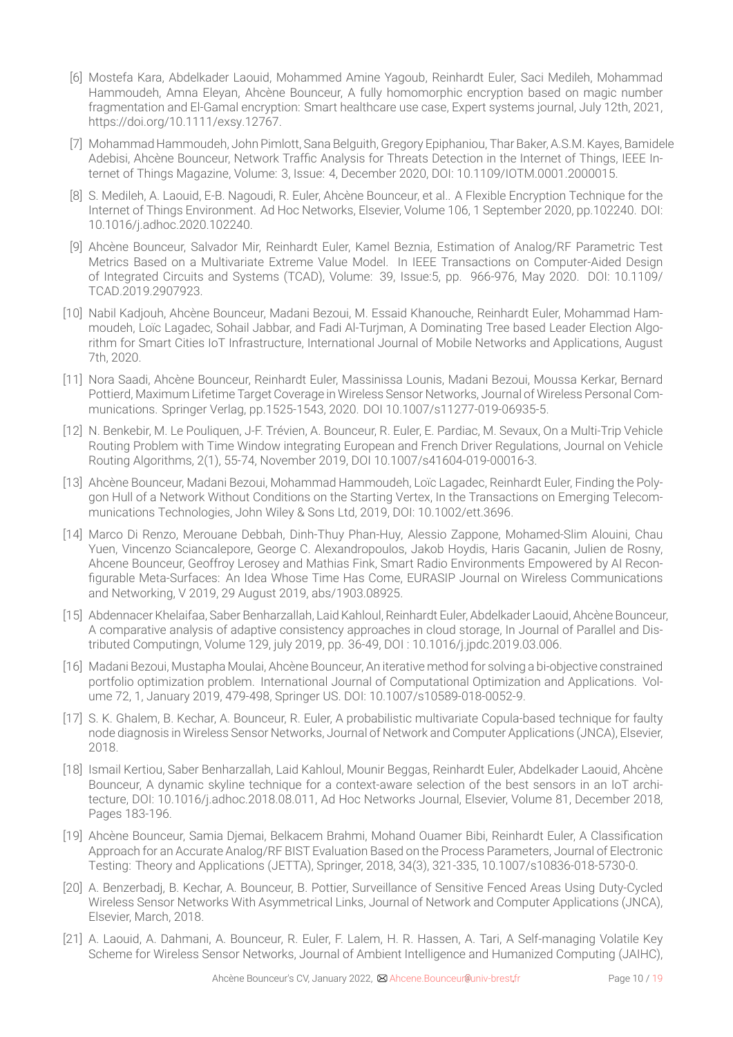- [6] Mostefa Kara, Abdelkader Laouid, Mohammed Amine Yagoub, Reinhardt Euler, Saci Medileh, Mohammad Hammoudeh, Amna Eleyan, Ahcène Bounceur, A fully homomorphic encryption based on magic number fragmentation and El‐Gamal encryption: Smart healthcare use case, Expert systems journal, July 12th, 2021, https://doi.org/10.1111/exsy.12767.
- [7] Mohammad Hammoudeh, John Pimlott, Sana Belguith, Gregory Epiphaniou, Thar Baker, A.S.M. Kayes, Bamidele Adebisi, Ahcène Bounceur, Network Traffic Analysis for Threats Detection in the Internet of Things, IEEE Internet of Things Magazine, Volume: 3, Issue: 4, December 2020, DOI: 10.1109/IOTM.0001.2000015.
- [8] S. Medileh, A. Laouid, E-B. Nagoudi, R. Euler, Ahcène Bounceur, et al.. A Flexible Encryption Technique for the Internet of Things Environment. Ad Hoc Networks, Elsevier, Volume 106, 1 September 2020, pp.102240. DOI: 10.1016/j.adhoc.2020.102240.
- [9] Ahcène Bounceur, Salvador Mir, Reinhardt Euler, Kamel Beznia, Estimation of Analog/RF Parametric Test Metrics Based on a Multivariate Extreme Value Model. In IEEE Transactions on Computer-Aided Design of Integrated Circuits and Systems (TCAD), Volume: 39, Issue:5, pp. 966-976, May 2020. DOI: 10.1109/ TCAD.2019.2907923.
- [10] Nabil Kadjouh, Ahcène Bounceur, Madani Bezoui, M. Essaid Khanouche, Reinhardt Euler, Mohammad Hammoudeh, Loïc Lagadec, Sohail Jabbar, and Fadi Al-Turjman, A Dominating Tree based Leader Election Algorithm for Smart Cities IoT Infrastructure, International Journal of Mobile Networks and Applications, August 7th, 2020.
- [11] Nora Saadi, Ahcène Bounceur, Reinhardt Euler, Massinissa Lounis, Madani Bezoui, Moussa Kerkar, Bernard Pottierd, Maximum Lifetime Target Coverage in Wireless Sensor Networks, Journal of Wireless Personal Communications. Springer Verlag, pp.1525-1543, 2020. DOI 10.1007/s11277-019-06935-5.
- [12] N. Benkebir, M. Le Pouliquen, J-F. Trévien, A. Bounceur, R. Euler, E. Pardiac, M. Sevaux, On a Multi-Trip Vehicle Routing Problem with Time Window integrating European and French Driver Regulations, Journal on Vehicle Routing Algorithms, 2(1), 55-74, November 2019, DOI 10.1007/s41604-019-00016-3.
- [13] Ahcène Bounceur, Madani Bezoui, Mohammad Hammoudeh, Loïc Lagadec, Reinhardt Euler, Finding the Polygon Hull of a Network Without Conditions on the Starting Vertex, In the Transactions on Emerging Telecommunications Technologies, John Wiley & Sons Ltd, 2019, DOI: 10.1002/ett.3696.
- [14] Marco Di Renzo, Merouane Debbah, Dinh-Thuy Phan-Huy, Alessio Zappone, Mohamed-Slim Alouini, Chau Yuen, Vincenzo Sciancalepore, George C. Alexandropoulos, Jakob Hoydis, Haris Gacanin, Julien de Rosny, Ahcene Bounceur, Geoffroy Lerosey and Mathias Fink, Smart Radio Environments Empowered by AI Reconfigurable Meta-Surfaces: An Idea Whose Time Has Come, EURASIP Journal on Wireless Communications and Networking, V 2019, 29 August 2019, abs/1903.08925.
- [15] Abdennacer Khelaifaa, Saber Benharzallah, Laid Kahloul, Reinhardt Euler, Abdelkader Laouid, Ahcène Bounceur, A comparative analysis of adaptive consistency approaches in cloud storage, In Journal of Parallel and Distributed Computingn, Volume 129, july 2019, pp. 36-49, DOI : 10.1016/j.jpdc.2019.03.006.
- [16] Madani Bezoui, Mustapha Moulai, Ahcène Bounceur, An iterative method for solving a bi-objective constrained portfolio optimization problem. International Journal of Computational Optimization and Applications. Volume 72, 1, January 2019, 479-498, Springer US. DOI: 10.1007/s10589-018-0052-9.
- [17] S. K. Ghalem, B. Kechar, A. Bounceur, R. Euler, A probabilistic multivariate Copula-based technique for faulty node diagnosis in Wireless Sensor Networks, Journal of Network and Computer Applications (JNCA), Elsevier, 2018.
- [18] Ismail Kertiou, Saber Benharzallah, Laid Kahloul, Mounir Beggas, Reinhardt Euler, Abdelkader Laouid, Ahcène Bounceur, A dynamic skyline technique for a context-aware selection of the best sensors in an IoT architecture, DOI: 10.1016/j.adhoc.2018.08.011, Ad Hoc Networks Journal, Elsevier, Volume 81, December 2018, Pages 183-196.
- [19] Ahcène Bounceur, Samia Djemai, Belkacem Brahmi, Mohand Ouamer Bibi, Reinhardt Euler, A Classification Approach for an Accurate Analog/RF BIST Evaluation Based on the Process Parameters, Journal of Electronic Testing: Theory and Applications (JETTA), Springer, 2018, 34(3), 321-335, 10.1007/s10836-018-5730-0.
- [20] A. Benzerbadj, B. Kechar, A. Bounceur, B. Pottier, Surveillance of Sensitive Fenced Areas Using Duty-Cycled Wireless Sensor Networks With Asymmetrical Links, Journal of Network and Computer Applications (JNCA), Elsevier, March, 2018.
- [21] A. Laouid, A. Dahmani, A. Bounceur, R. Euler, F. Lalem, H. R. Hassen, A. Tari, A Self-managing Volatile Key Scheme for Wireless Sensor Networks, Journal of Ambient Intelligence and Humanized Computing (JAIHC),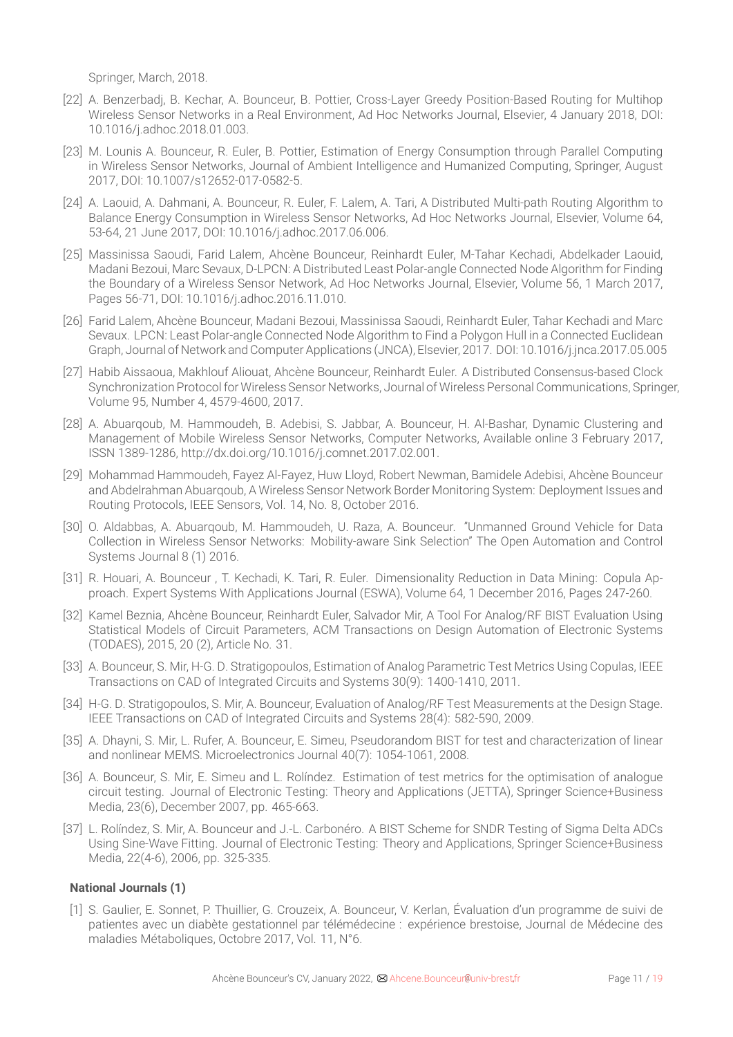Springer, March, 2018.

- [22] A. Benzerbadj, B. Kechar, A. Bounceur, B. Pottier, Cross-Layer Greedy Position-Based Routing for Multihop Wireless Sensor Networks in a Real Environment, Ad Hoc Networks Journal, Elsevier, 4 January 2018, DOI: 10.1016/j.adhoc.2018.01.003.
- [23] M. Lounis A. Bounceur, R. Euler, B. Pottier, Estimation of Energy Consumption through Parallel Computing in Wireless Sensor Networks, Journal of Ambient Intelligence and Humanized Computing, Springer, August 2017, DOI: 10.1007/s12652-017-0582-5.
- [24] A. Laouid, A. Dahmani, A. Bounceur, R. Euler, F. Lalem, A. Tari, A Distributed Multi-path Routing Algorithm to Balance Energy Consumption in Wireless Sensor Networks, Ad Hoc Networks Journal, Elsevier, Volume 64, 53-64, 21 June 2017, DOI: 10.1016/j.adhoc.2017.06.006.
- [25] Massinissa Saoudi, Farid Lalem, Ahcène Bounceur, Reinhardt Euler, M-Tahar Kechadi, Abdelkader Laouid, Madani Bezoui, Marc Sevaux, D-LPCN: A Distributed Least Polar-angle Connected Node Algorithm for Finding the Boundary of a Wireless Sensor Network, Ad Hoc Networks Journal, Elsevier, Volume 56, 1 March 2017, Pages 56-71, DOI: 10.1016/j.adhoc.2016.11.010.
- [26] Farid Lalem, Ahcène Bounceur, Madani Bezoui, Massinissa Saoudi, Reinhardt Euler, Tahar Kechadi and Marc Sevaux. LPCN: Least Polar-angle Connected Node Algorithm to Find a Polygon Hull in a Connected Euclidean Graph, Journal of Network and Computer Applications (JNCA), Elsevier, 2017. DOI: 10.1016/j.jnca.2017.05.005
- [27] Habib Aissaoua, Makhlouf Aliouat, Ahcène Bounceur, Reinhardt Euler. A Distributed Consensus-based Clock Synchronization Protocolfor Wireless Sensor Networks, Journal of Wireless Personal Communications, Springer, Volume 95, Number 4, 4579-4600, 2017.
- [28] A. Abuarqoub, M. Hammoudeh, B. Adebisi, S. Jabbar, A. Bounceur, H. Al-Bashar, Dynamic Clustering and Management of Mobile Wireless Sensor Networks, Computer Networks, Available online 3 February 2017, ISSN 1389-1286, http://dx.doi.org/10.1016/j.comnet.2017.02.001.
- [29] Mohammad Hammoudeh, Fayez Al-Fayez, Huw Lloyd, Robert Newman, Bamidele Adebisi, Ahcène Bounceur and Abdelrahman Abuarqoub, A Wireless Sensor Network Border Monitoring System: Deployment Issues and Routing Protocols, IEEE Sensors, Vol. 14, No. 8, October 2016.
- [30] O. Aldabbas, A. Abuarqoub, M. Hammoudeh, U. Raza, A. Bounceur. "Unmanned Ground Vehicle for Data Collection in Wireless Sensor Networks: Mobility-aware Sink Selection" The Open Automation and Control Systems Journal 8 (1) 2016.
- [31] R. Houari, A. Bounceur , T. Kechadi, K. Tari, R. Euler. Dimensionality Reduction in Data Mining: Copula Approach. Expert Systems With Applications Journal (ESWA), Volume 64, 1 December 2016, Pages 247-260.
- [32] Kamel Beznia, Ahcène Bounceur, Reinhardt Euler, Salvador Mir, A Tool For Analog/RF BIST Evaluation Using Statistical Models of Circuit Parameters, ACM Transactions on Design Automation of Electronic Systems (TODAES), 2015, 20 (2), Article No. 31.
- [33] A. Bounceur, S. Mir, H-G. D. Stratigopoulos, Estimation of Analog Parametric Test Metrics Using Copulas, IEEE Transactions on CAD of Integrated Circuits and Systems 30(9): 1400-1410, 2011.
- [34] H-G. D. Stratigopoulos, S. Mir, A. Bounceur, Evaluation of Analog/RF Test Measurements at the Design Stage. IEEE Transactions on CAD of Integrated Circuits and Systems 28(4): 582-590, 2009.
- [35] A. Dhayni, S. Mir, L. Rufer, A. Bounceur, E. Simeu, Pseudorandom BIST for test and characterization of linear and nonlinear MEMS. Microelectronics Journal 40(7): 1054-1061, 2008.
- [36] A. Bounceur, S. Mir, E. Simeu and L. Rolíndez. Estimation of test metrics for the optimisation of analogue circuit testing. Journal of Electronic Testing: Theory and Applications (JETTA), Springer Science+Business Media, 23(6), December 2007, pp. 465-663.
- [37] L. Rolíndez, S. Mir, A. Bounceur and J.-L. Carbonéro. A BIST Scheme for SNDR Testing of Sigma Delta ADCs Using Sine-Wave Fitting. Journal of Electronic Testing: Theory and Applications, Springer Science+Business Media, 22(4-6), 2006, pp. 325-335.

### **National Journals (1)**

[1] S. Gaulier, E. Sonnet, P. Thuillier, G. Crouzeix, A. Bounceur, V. Kerlan, Évaluation d'un programme de suivi de patientes avec un diabète gestationnel par télémédecine : expérience brestoise, Journal de Médecine des maladies Métaboliques, Octobre 2017, Vol. 11, N°6.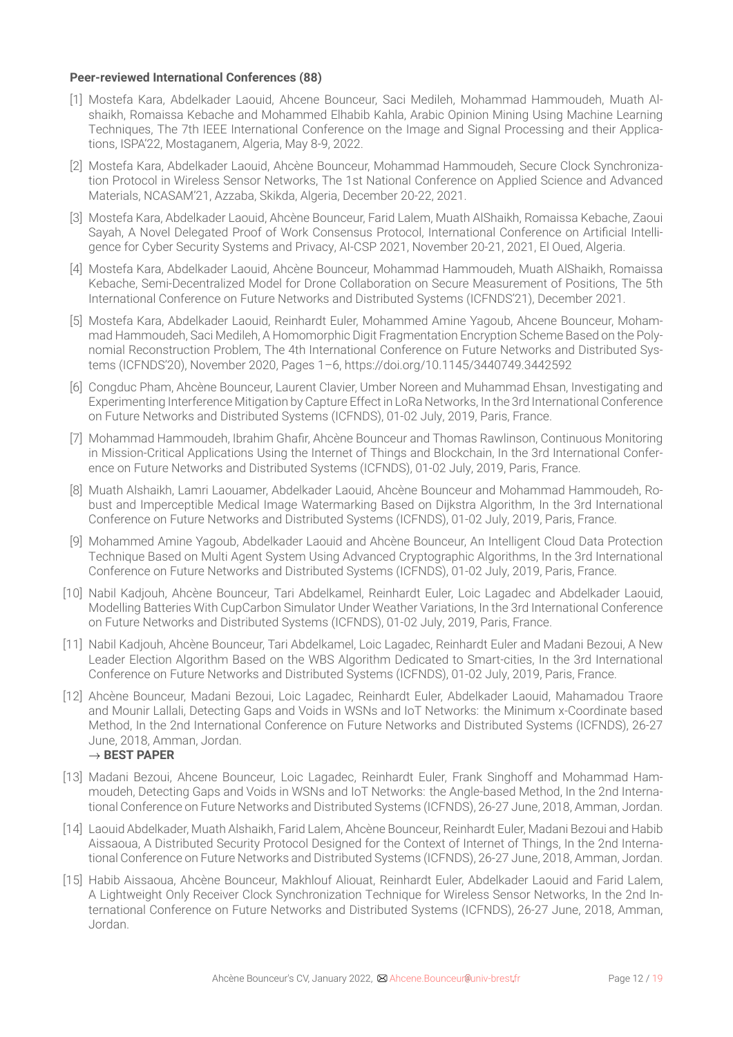### **Peer-reviewed International Conferences (88)**

- [1] Mostefa Kara, Abdelkader Laouid, Ahcene Bounceur, Saci Medileh, Mohammad Hammoudeh, Muath Alshaikh, Romaissa Kebache and Mohammed Elhabib Kahla, Arabic Opinion Mining Using Machine Learning Techniques, The 7th IEEE International Conference on the Image and Signal Processing and their Applications, ISPA'22, Mostaganem, Algeria, May 8-9, 2022.
- [2] Mostefa Kara, Abdelkader Laouid, Ahcène Bounceur, Mohammad Hammoudeh, Secure Clock Synchronization Protocol in Wireless Sensor Networks, The 1st National Conference on Applied Science and Advanced Materials, NCASAM'21, Azzaba, Skikda, Algeria, December 20-22, 2021.
- [3] Mostefa Kara, Abdelkader Laouid, Ahcène Bounceur, Farid Lalem, Muath AlShaikh, Romaissa Kebache, Zaoui Sayah, A Novel Delegated Proof of Work Consensus Protocol, International Conference on Artificial Intelligence for Cyber Security Systems and Privacy, AI-CSP 2021, November 20-21, 2021, El Oued, Algeria.
- [4] Mostefa Kara, Abdelkader Laouid, Ahcène Bounceur, Mohammad Hammoudeh, Muath AlShaikh, Romaissa Kebache, Semi-Decentralized Model for Drone Collaboration on Secure Measurement of Positions, The 5th International Conference on Future Networks and Distributed Systems (ICFNDS'21), December 2021.
- [5] Mostefa Kara, Abdelkader Laouid, Reinhardt Euler, Mohammed Amine Yagoub, Ahcene Bounceur, Mohammad Hammoudeh, Saci Medileh, A Homomorphic Digit Fragmentation Encryption Scheme Based on the Polynomial Reconstruction Problem, The 4th International Conference on Future Networks and Distributed Systems (ICFNDS'20), November 2020, Pages 1–6, https://doi.org/10.1145/3440749.3442592
- [6] Congduc Pham, Ahcène Bounceur, Laurent Clavier, Umber Noreen and Muhammad Ehsan, Investigating and Experimenting Interference Mitigation by Capture Effect in LoRa Networks, In the 3rd International Conference on Future Networks and Distributed Systems (ICFNDS), 01-02 July, 2019, Paris, France.
- [7] Mohammad Hammoudeh, Ibrahim Ghafir, Ahcène Bounceur and Thomas Rawlinson, Continuous Monitoring in Mission-Critical Applications Using the Internet of Things and Blockchain, In the 3rd International Conference on Future Networks and Distributed Systems (ICFNDS), 01-02 July, 2019, Paris, France.
- [8] Muath Alshaikh, Lamri Laouamer, Abdelkader Laouid, Ahcène Bounceur and Mohammad Hammoudeh, Robust and Imperceptible Medical Image Watermarking Based on Dijkstra Algorithm, In the 3rd International Conference on Future Networks and Distributed Systems (ICFNDS), 01-02 July, 2019, Paris, France.
- [9] Mohammed Amine Yagoub, Abdelkader Laouid and Ahcène Bounceur, An Intelligent Cloud Data Protection Technique Based on Multi Agent System Using Advanced Cryptographic Algorithms, In the 3rd International Conference on Future Networks and Distributed Systems (ICFNDS), 01-02 July, 2019, Paris, France.
- [10] Nabil Kadjouh, Ahcène Bounceur, Tari Abdelkamel, Reinhardt Euler, Loic Lagadec and Abdelkader Laouid, Modelling Batteries With CupCarbon Simulator Under Weather Variations, In the 3rd International Conference on Future Networks and Distributed Systems (ICFNDS), 01-02 July, 2019, Paris, France.
- [11] Nabil Kadjouh, Ahcène Bounceur, Tari Abdelkamel, Loic Lagadec, Reinhardt Euler and Madani Bezoui, A New Leader Election Algorithm Based on the WBS Algorithm Dedicated to Smart-cities, In the 3rd International Conference on Future Networks and Distributed Systems (ICFNDS), 01-02 July, 2019, Paris, France.
- [12] Ahcène Bounceur, Madani Bezoui, Loic Lagadec, Reinhardt Euler, Abdelkader Laouid, Mahamadou Traore and Mounir Lallali, Detecting Gaps and Voids in WSNs and IoT Networks: the Minimum x-Coordinate based Method, In the 2nd International Conference on Future Networks and Distributed Systems (ICFNDS), 26-27 June, 2018, Amman, Jordan.
- *→* **BEST PAPER**
- [13] Madani Bezoui, Ahcene Bounceur, Loic Lagadec, Reinhardt Euler, Frank Singhoff and Mohammad Hammoudeh, Detecting Gaps and Voids in WSNs and IoT Networks: the Angle-based Method, In the 2nd International Conference on Future Networks and Distributed Systems (ICFNDS), 26-27 June, 2018, Amman, Jordan.
- [14] Laouid Abdelkader, Muath Alshaikh, Farid Lalem, Ahcène Bounceur, Reinhardt Euler, Madani Bezoui and Habib Aissaoua, A Distributed Security Protocol Designed for the Context of Internet of Things, In the 2nd International Conference on Future Networks and Distributed Systems (ICFNDS), 26-27 June, 2018, Amman, Jordan.
- [15] Habib Aissaoua, Ahcène Bounceur, Makhlouf Aliouat, Reinhardt Euler, Abdelkader Laouid and Farid Lalem, A Lightweight Only Receiver Clock Synchronization Technique for Wireless Sensor Networks, In the 2nd International Conference on Future Networks and Distributed Systems (ICFNDS), 26-27 June, 2018, Amman, Jordan.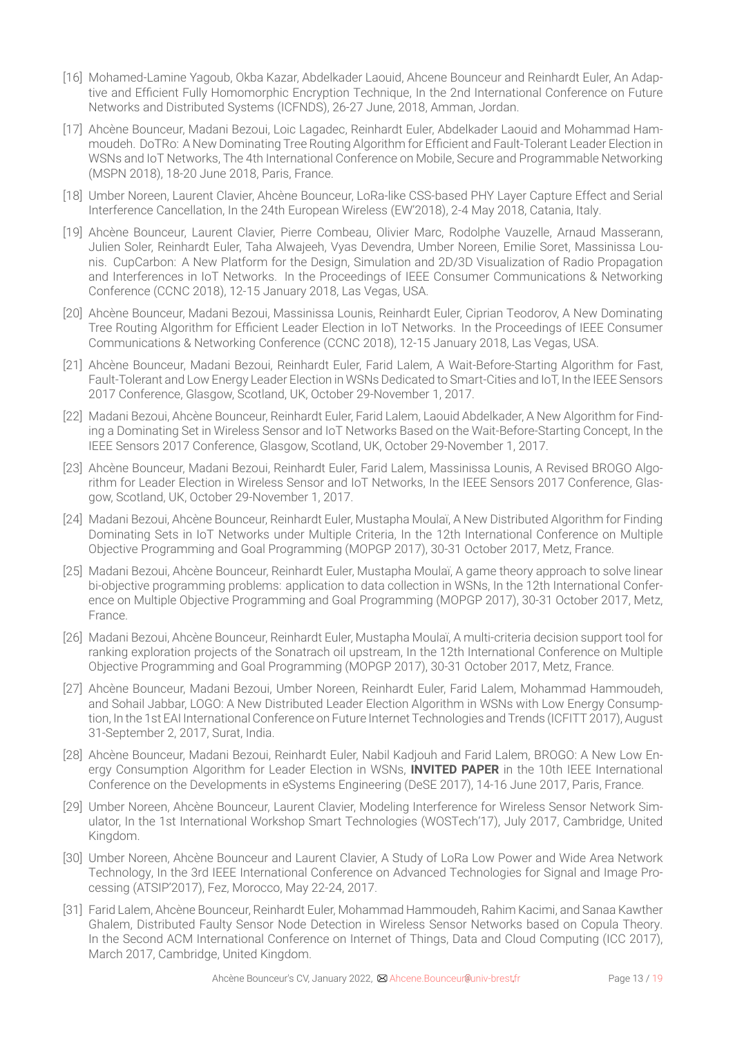- [16] Mohamed-Lamine Yagoub, Okba Kazar, Abdelkader Laouid, Ahcene Bounceur and Reinhardt Euler, An Adaptive and Efficient Fully Homomorphic Encryption Technique, In the 2nd International Conference on Future Networks and Distributed Systems (ICFNDS), 26-27 June, 2018, Amman, Jordan.
- [17] Ahcène Bounceur, Madani Bezoui, Loic Lagadec, Reinhardt Euler, Abdelkader Laouid and Mohammad Hammoudeh. DoTRo: A New Dominating Tree Routing Algorithm for Efficient and Fault-Tolerant Leader Election in WSNs and IoT Networks, The 4th International Conference on Mobile, Secure and Programmable Networking (MSPN 2018), 18-20 June 2018, Paris, France.
- [18] Umber Noreen, Laurent Clavier, Ahcène Bounceur, LoRa-like CSS-based PHY Layer Capture Effect and Serial Interference Cancellation, In the 24th European Wireless (EW'2018), 2-4 May 2018, Catania, Italy.
- [19] Ahcène Bounceur, Laurent Clavier, Pierre Combeau, Olivier Marc, Rodolphe Vauzelle, Arnaud Masserann, Julien Soler, Reinhardt Euler, Taha Alwajeeh, Vyas Devendra, Umber Noreen, Emilie Soret, Massinissa Lounis. CupCarbon: A New Platform for the Design, Simulation and 2D/3D Visualization of Radio Propagation and Interferences in IoT Networks. In the Proceedings of IEEE Consumer Communications & Networking Conference (CCNC 2018), 12-15 January 2018, Las Vegas, USA.
- [20] Ahcène Bounceur, Madani Bezoui, Massinissa Lounis, Reinhardt Euler, Ciprian Teodorov, A New Dominating Tree Routing Algorithm for Efficient Leader Election in IoT Networks. In the Proceedings of IEEE Consumer Communications & Networking Conference (CCNC 2018), 12-15 January 2018, Las Vegas, USA.
- [21] Ahcène Bounceur, Madani Bezoui, Reinhardt Euler, Farid Lalem, A Wait-Before-Starting Algorithm for Fast, Fault-Tolerant and Low Energy Leader Election in WSNs Dedicated to Smart-Cities and IoT, In the IEEE Sensors 2017 Conference, Glasgow, Scotland, UK, October 29-November 1, 2017.
- [22] Madani Bezoui, Ahcène Bounceur, Reinhardt Euler, Farid Lalem, Laouid Abdelkader, A New Algorithm for Finding a Dominating Set in Wireless Sensor and IoT Networks Based on the Wait-Before-Starting Concept, In the IEEE Sensors 2017 Conference, Glasgow, Scotland, UK, October 29-November 1, 2017.
- [23] Ahcène Bounceur, Madani Bezoui, Reinhardt Euler, Farid Lalem, Massinissa Lounis, A Revised BROGO Algorithm for Leader Election in Wireless Sensor and IoT Networks, In the IEEE Sensors 2017 Conference, Glasgow, Scotland, UK, October 29-November 1, 2017.
- [24] Madani Bezoui, Ahcène Bounceur, Reinhardt Euler, Mustapha Moulaï, A New Distributed Algorithm for Finding Dominating Sets in IoT Networks under Multiple Criteria, In the 12th International Conference on Multiple Objective Programming and Goal Programming (MOPGP 2017), 30-31 October 2017, Metz, France.
- [25] Madani Bezoui, Ahcène Bounceur, Reinhardt Euler, Mustapha Moulaï, A game theory approach to solve linear bi-objective programming problems: application to data collection in WSNs, In the 12th International Conference on Multiple Objective Programming and Goal Programming (MOPGP 2017), 30-31 October 2017, Metz, France.
- [26] Madani Bezoui, Ahcène Bounceur, Reinhardt Euler, Mustapha Moulaï, A multi-criteria decision support tool for ranking exploration projects of the Sonatrach oil upstream, In the 12th International Conference on Multiple Objective Programming and Goal Programming (MOPGP 2017), 30-31 October 2017, Metz, France.
- [27] Ahcène Bounceur, Madani Bezoui, Umber Noreen, Reinhardt Euler, Farid Lalem, Mohammad Hammoudeh, and Sohail Jabbar, LOGO: A New Distributed Leader Election Algorithm in WSNs with Low Energy Consumption, In the 1st EAI International Conference on Future Internet Technologies and Trends (ICFITT 2017), August 31-September 2, 2017, Surat, India.
- [28] Ahcène Bounceur, Madani Bezoui, Reinhardt Euler, Nabil Kadjouh and Farid Lalem, BROGO: A New Low Energy Consumption Algorithm for Leader Election in WSNs, **INVITED PAPER** in the 10th IEEE International Conference on the Developments in eSystems Engineering (DeSE 2017), 14-16 June 2017, Paris, France.
- [29] Umber Noreen, Ahcène Bounceur, Laurent Clavier, Modeling Interference for Wireless Sensor Network Simulator, In the 1st International Workshop Smart Technologies (WOSTech'17), July 2017, Cambridge, United Kingdom.
- [30] Umber Noreen, Ahcène Bounceur and Laurent Clavier, A Study of LoRa Low Power and Wide Area Network Technology, In the 3rd IEEE International Conference on Advanced Technologies for Signal and Image Processing (ATSIP'2017), Fez, Morocco, May 22-24, 2017.
- [31] Farid Lalem, Ahcène Bounceur, Reinhardt Euler, Mohammad Hammoudeh, Rahim Kacimi, and Sanaa Kawther Ghalem, Distributed Faulty Sensor Node Detection in Wireless Sensor Networks based on Copula Theory. In the Second ACM International Conference on Internet of Things, Data and Cloud Computing (ICC 2017), March 2017, Cambridge, United Kingdom.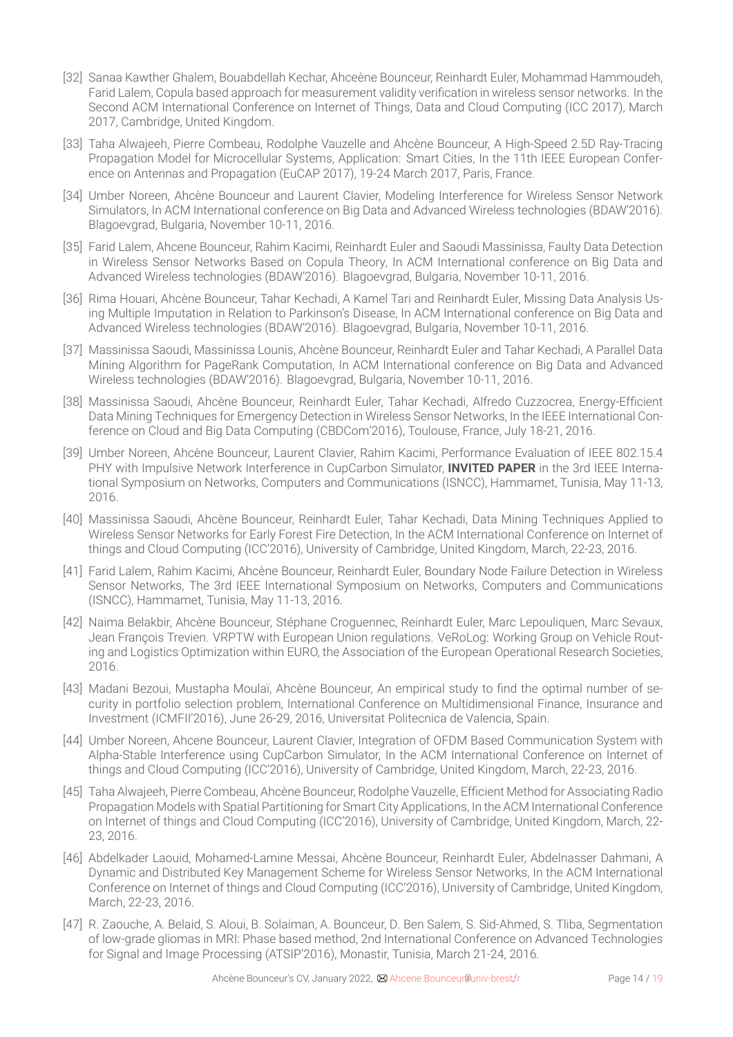- [32] Sanaa Kawther Ghalem, Bouabdellah Kechar, Ahceène Bounceur, Reinhardt Euler, Mohammad Hammoudeh, Farid Lalem, Copula based approach for measurement validity verification in wireless sensor networks. In the Second ACM International Conference on Internet of Things, Data and Cloud Computing (ICC 2017), March 2017, Cambridge, United Kingdom.
- [33] Taha Alwajeeh, Pierre Combeau, Rodolphe Vauzelle and Ahcène Bounceur, A High-Speed 2.5D Ray-Tracing Propagation Model for Microcellular Systems, Application: Smart Cities, In the 11th IEEE European Conference on Antennas and Propagation (EuCAP 2017), 19-24 March 2017, Paris, France.
- [34] Umber Noreen, Ahcène Bounceur and Laurent Clavier, Modeling Interference for Wireless Sensor Network Simulators, In ACM International conference on Big Data and Advanced Wireless technologies (BDAW'2016). Blagoevgrad, Bulgaria, November 10-11, 2016.
- [35] Farid Lalem, Ahcene Bounceur, Rahim Kacimi, Reinhardt Euler and Saoudi Massinissa, Faulty Data Detection in Wireless Sensor Networks Based on Copula Theory, In ACM International conference on Big Data and Advanced Wireless technologies (BDAW'2016). Blagoevgrad, Bulgaria, November 10-11, 2016.
- [36] Rima Houari, Ahcène Bounceur, Tahar Kechadi, A Kamel Tari and Reinhardt Euler, Missing Data Analysis Using Multiple Imputation in Relation to Parkinson's Disease, In ACM International conference on Big Data and Advanced Wireless technologies (BDAW'2016). Blagoevgrad, Bulgaria, November 10-11, 2016.
- [37] Massinissa Saoudi, Massinissa Lounis, Ahcène Bounceur, Reinhardt Euler and Tahar Kechadi, A Parallel Data Mining Algorithm for PageRank Computation, In ACM International conference on Big Data and Advanced Wireless technologies (BDAW'2016). Blagoevgrad, Bulgaria, November 10-11, 2016.
- [38] Massinissa Saoudi, Ahcène Bounceur, Reinhardt Euler, Tahar Kechadi, Alfredo Cuzzocrea, Energy-Efficient Data Mining Techniques for Emergency Detection in Wireless Sensor Networks, In the IEEE International Conference on Cloud and Big Data Computing (CBDCom'2016), Toulouse, France, July 18-21, 2016.
- [39] Umber Noreen, Ahcène Bounceur, Laurent Clavier, Rahim Kacimi, Performance Evaluation of IEEE 802.15.4 PHY with Impulsive Network Interference in CupCarbon Simulator, **INVITED PAPER** in the 3rd IEEE International Symposium on Networks, Computers and Communications (ISNCC), Hammamet, Tunisia, May 11-13, 2016.
- [40] Massinissa Saoudi, Ahcène Bounceur, Reinhardt Euler, Tahar Kechadi, Data Mining Techniques Applied to Wireless Sensor Networks for Early Forest Fire Detection, In the ACM International Conference on Internet of things and Cloud Computing (ICC'2016), University of Cambridge, United Kingdom, March, 22-23, 2016.
- [41] Farid Lalem, Rahim Kacimi, Ahcène Bounceur, Reinhardt Euler, Boundary Node Failure Detection in Wireless Sensor Networks, The 3rd IEEE International Symposium on Networks, Computers and Communications (ISNCC), Hammamet, Tunisia, May 11-13, 2016.
- [42] Naima Belakbir, Ahcène Bounceur, Stéphane Croguennec, Reinhardt Euler, Marc Lepouliquen, Marc Sevaux, Jean François Trevien. VRPTW with European Union regulations. VeRoLog: Working Group on Vehicle Routing and Logistics Optimization within EURO, the Association of the European Operational Research Societies, 2016.
- [43] Madani Bezoui, Mustapha Moulaï, Ahcène Bounceur, An empirical study to find the optimal number of security in portfolio selection problem, International Conference on Multidimensional Finance, Insurance and Investment (ICMFII'2016), June 26-29, 2016, Universitat Politecnica de Valencia, Spain.
- [44] Umber Noreen, Ahcene Bounceur, Laurent Clavier, Integration of OFDM Based Communication System with Alpha-Stable Interference using CupCarbon Simulator, In the ACM International Conference on Internet of things and Cloud Computing (ICC'2016), University of Cambridge, United Kingdom, March, 22-23, 2016.
- [45] Taha Alwajeeh, Pierre Combeau, Ahcène Bounceur, Rodolphe Vauzelle, Efficient Method for Associating Radio Propagation Models with Spatial Partitioning for Smart City Applications, In the ACM International Conference on Internet of things and Cloud Computing (ICC'2016), University of Cambridge, United Kingdom, March, 22- 23, 2016.
- [46] Abdelkader Laouid, Mohamed-Lamine Messai, Ahcène Bounceur, Reinhardt Euler, Abdelnasser Dahmani, A Dynamic and Distributed Key Management Scheme for Wireless Sensor Networks, In the ACM International Conference on Internet of things and Cloud Computing (ICC'2016), University of Cambridge, United Kingdom, March, 22-23, 2016.
- [47] R. Zaouche, A. Belaid, S. Aloui, B. Solaiman, A. Bounceur, D. Ben Salem, S. Sid-Ahmed, S. Tliba, Segmentation of low-grade gliomas in MRI: Phase based method, 2nd International Conference on Advanced Technologies for Signal and Image Processing (ATSIP'2016), Monastir, Tunisia, March 21-24, 2016.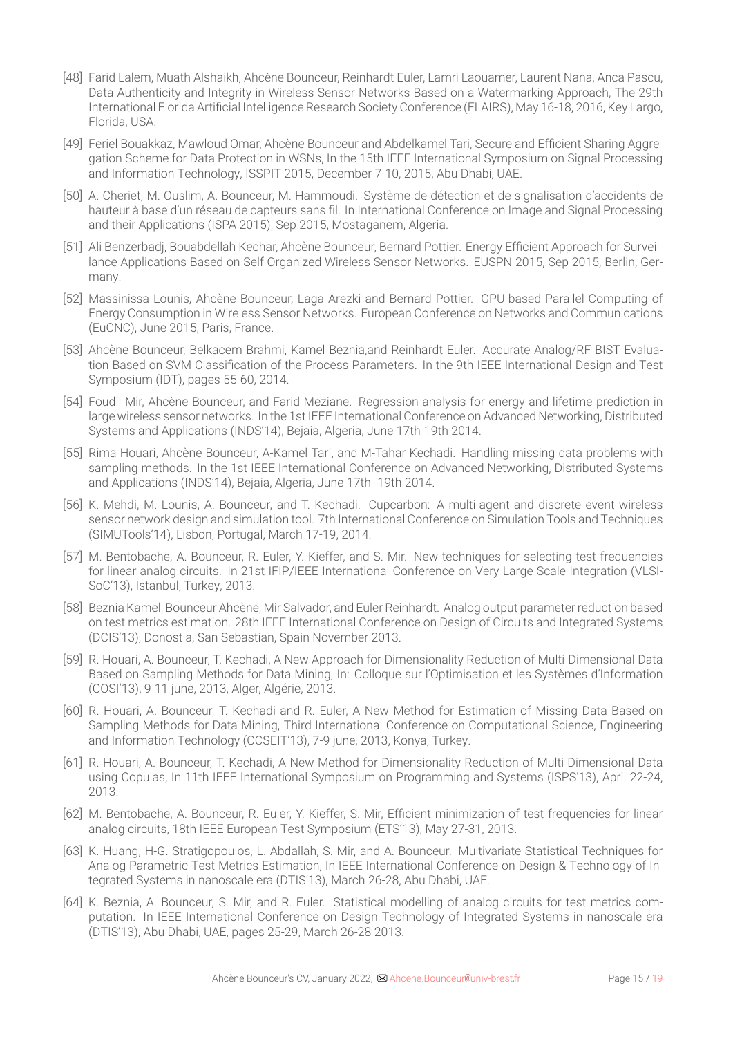- [48] Farid Lalem, Muath Alshaikh, Ahcène Bounceur, Reinhardt Euler, Lamri Laouamer, Laurent Nana, Anca Pascu, Data Authenticity and Integrity in Wireless Sensor Networks Based on a Watermarking Approach, The 29th International Florida Artificial Intelligence Research Society Conference (FLAIRS), May 16-18, 2016, Key Largo, Florida, USA.
- [49] Feriel Bouakkaz, Mawloud Omar, Ahcène Bounceur and Abdelkamel Tari, Secure and Efficient Sharing Aggregation Scheme for Data Protection in WSNs, In the 15th IEEE International Symposium on Signal Processing and Information Technology, ISSPIT 2015, December 7-10, 2015, Abu Dhabi, UAE.
- [50] A. Cheriet, M. Ouslim, A. Bounceur, M. Hammoudi. Système de détection et de signalisation d'accidents de hauteur à base d'un réseau de capteurs sans fil. In International Conference on Image and Signal Processing and their Applications (ISPA 2015), Sep 2015, Mostaganem, Algeria.
- [51] Ali Benzerbadj, Bouabdellah Kechar, Ahcène Bounceur, Bernard Pottier. Energy Efficient Approach for Surveillance Applications Based on Self Organized Wireless Sensor Networks. EUSPN 2015, Sep 2015, Berlin, Germany.
- [52] Massinissa Lounis, Ahcène Bounceur, Laga Arezki and Bernard Pottier. GPU-based Parallel Computing of Energy Consumption in Wireless Sensor Networks. European Conference on Networks and Communications (EuCNC), June 2015, Paris, France.
- [53] Ahcène Bounceur, Belkacem Brahmi, Kamel Beznia,and Reinhardt Euler. Accurate Analog/RF BIST Evaluation Based on SVM Classification of the Process Parameters. In the 9th IEEE International Design and Test Symposium (IDT), pages 55-60, 2014.
- [54] Foudil Mir, Ahcène Bounceur, and Farid Meziane. Regression analysis for energy and lifetime prediction in large wireless sensor networks. In the 1st IEEE International Conference on Advanced Networking, Distributed Systems and Applications (INDS'14), Bejaia, Algeria, June 17th-19th 2014.
- [55] Rima Houari, Ahcène Bounceur, A-Kamel Tari, and M-Tahar Kechadi. Handling missing data problems with sampling methods. In the 1st IEEE International Conference on Advanced Networking, Distributed Systems and Applications (INDS'14), Bejaia, Algeria, June 17th- 19th 2014.
- [56] K. Mehdi, M. Lounis, A. Bounceur, and T. Kechadi. Cupcarbon: A multi-agent and discrete event wireless sensor network design and simulation tool. 7th International Conference on Simulation Tools and Techniques (SIMUTools'14), Lisbon, Portugal, March 17-19, 2014.
- [57] M. Bentobache, A. Bounceur, R. Euler, Y. Kieffer, and S. Mir. New techniques for selecting test frequencies for linear analog circuits. In 21st IFIP/IEEE International Conference on Very Large Scale Integration (VLSI-SoC'13), Istanbul, Turkey, 2013.
- [58] Beznia Kamel, Bounceur Ahcène, Mir Salvador, and Euler Reinhardt. Analog output parameter reduction based on test metrics estimation. 28th IEEE International Conference on Design of Circuits and Integrated Systems (DCIS'13), Donostia, San Sebastian, Spain November 2013.
- [59] R. Houari, A. Bounceur, T. Kechadi, A New Approach for Dimensionality Reduction of Multi-Dimensional Data Based on Sampling Methods for Data Mining, In: Colloque sur l'Optimisation et les Systèmes d'Information (COSI'13), 9-11 june, 2013, Alger, Algérie, 2013.
- [60] R. Houari, A. Bounceur, T. Kechadi and R. Euler, A New Method for Estimation of Missing Data Based on Sampling Methods for Data Mining, Third International Conference on Computational Science, Engineering and Information Technology (CCSEIT'13), 7-9 june, 2013, Konya, Turkey.
- [61] R. Houari, A. Bounceur, T. Kechadi, A New Method for Dimensionality Reduction of Multi-Dimensional Data using Copulas, In 11th IEEE International Symposium on Programming and Systems (ISPS'13), April 22-24, 2013.
- [62] M. Bentobache, A. Bounceur, R. Euler, Y. Kieffer, S. Mir, Efficient minimization of test frequencies for linear analog circuits, 18th IEEE European Test Symposium (ETS'13), May 27-31, 2013.
- [63] K. Huang, H-G. Stratigopoulos, L. Abdallah, S. Mir, and A. Bounceur. Multivariate Statistical Techniques for Analog Parametric Test Metrics Estimation, In IEEE International Conference on Design & Technology of Integrated Systems in nanoscale era (DTIS'13), March 26-28, Abu Dhabi, UAE.
- [64] K. Beznia, A. Bounceur, S. Mir, and R. Euler. Statistical modelling of analog circuits for test metrics computation. In IEEE International Conference on Design Technology of Integrated Systems in nanoscale era (DTIS'13), Abu Dhabi, UAE, pages 25-29, March 26-28 2013.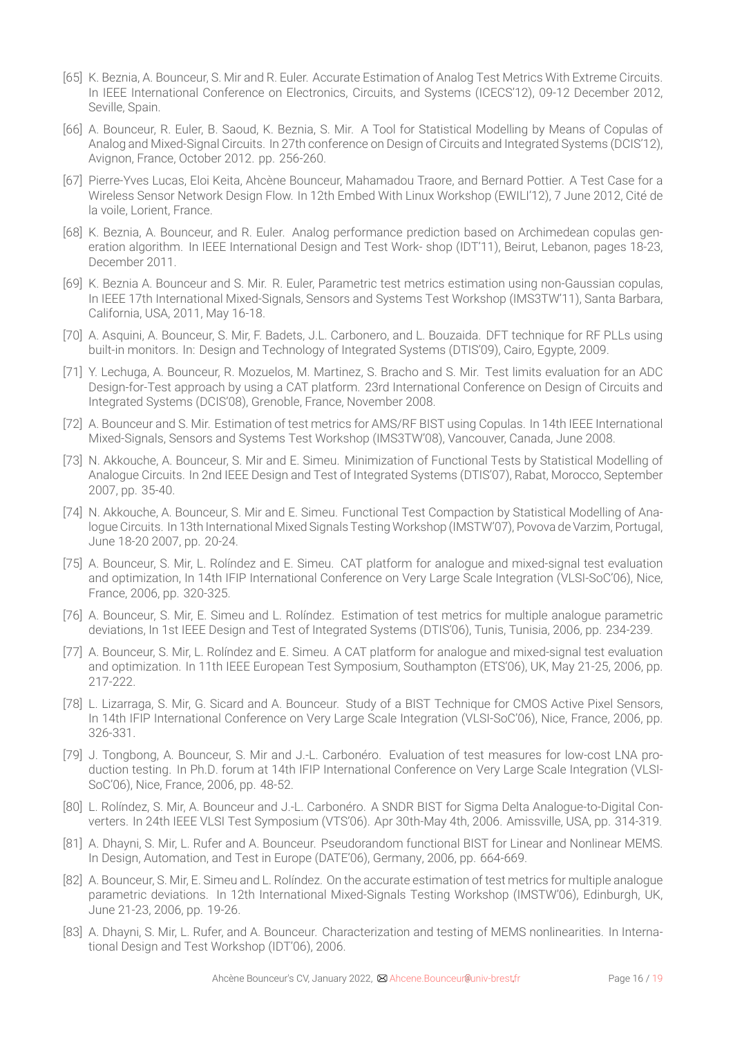- [65] K. Beznia, A. Bounceur, S. Mir and R. Euler. Accurate Estimation of Analog Test Metrics With Extreme Circuits. In IEEE International Conference on Electronics, Circuits, and Systems (ICECS'12), 09-12 December 2012, Seville, Spain.
- [66] A. Bounceur, R. Euler, B. Saoud, K. Beznia, S. Mir. A Tool for Statistical Modelling by Means of Copulas of Analog and Mixed-Signal Circuits. In 27th conference on Design of Circuits and Integrated Systems (DCIS'12), Avignon, France, October 2012. pp. 256-260.
- [67] Pierre-Yves Lucas, Eloi Keita, Ahcène Bounceur, Mahamadou Traore, and Bernard Pottier. A Test Case for a Wireless Sensor Network Design Flow. In 12th Embed With Linux Workshop (EWILI'12), 7 June 2012, Cité de la voile, Lorient, France.
- [68] K. Beznia, A. Bounceur, and R. Euler. Analog performance prediction based on Archimedean copulas generation algorithm. In IEEE International Design and Test Work- shop (IDT'11), Beirut, Lebanon, pages 18-23, December 2011.
- [69] K. Beznia A. Bounceur and S. Mir. R. Euler, Parametric test metrics estimation using non-Gaussian copulas, In IEEE 17th International Mixed-Signals, Sensors and Systems Test Workshop (IMS3TW'11), Santa Barbara, California, USA, 2011, May 16-18.
- [70] A. Asquini, A. Bounceur, S. Mir, F. Badets, J.L. Carbonero, and L. Bouzaida. DFT technique for RF PLLs using built-in monitors. In: Design and Technology of Integrated Systems (DTIS'09), Cairo, Egypte, 2009.
- [71] Y. Lechuga, A. Bounceur, R. Mozuelos, M. Martinez, S. Bracho and S. Mir. Test limits evaluation for an ADC Design-for-Test approach by using a CAT platform. 23rd International Conference on Design of Circuits and Integrated Systems (DCIS'08), Grenoble, France, November 2008.
- [72] A. Bounceur and S. Mir. Estimation of test metrics for AMS/RF BIST using Copulas. In 14th IEEE International Mixed-Signals, Sensors and Systems Test Workshop (IMS3TW'08), Vancouver, Canada, June 2008.
- [73] N. Akkouche, A. Bounceur, S. Mir and E. Simeu. Minimization of Functional Tests by Statistical Modelling of Analogue Circuits. In 2nd IEEE Design and Test of Integrated Systems (DTIS'07), Rabat, Morocco, September 2007, pp. 35-40.
- [74] N. Akkouche, A. Bounceur, S. Mir and E. Simeu. Functional Test Compaction by Statistical Modelling of Analogue Circuits. In 13th International Mixed Signals Testing Workshop (IMSTW'07), Povova de Varzim, Portugal, June 18-20 2007, pp. 20-24.
- [75] A. Bounceur, S. Mir, L. Rolíndez and E. Simeu. CAT platform for analogue and mixed-signal test evaluation and optimization, In 14th IFIP International Conference on Very Large Scale Integration (VLSI-SoC'06), Nice, France, 2006, pp. 320-325.
- [76] A. Bounceur, S. Mir, E. Simeu and L. Rolíndez. Estimation of test metrics for multiple analogue parametric deviations, In 1st IEEE Design and Test of Integrated Systems (DTIS'06), Tunis, Tunisia, 2006, pp. 234-239.
- [77] A. Bounceur, S. Mir, L. Rolíndez and E. Simeu. A CAT platform for analogue and mixed-signal test evaluation and optimization. In 11th IEEE European Test Symposium, Southampton (ETS'06), UK, May 21-25, 2006, pp. 217-222.
- [78] L. Lizarraga, S. Mir, G. Sicard and A. Bounceur. Study of a BIST Technique for CMOS Active Pixel Sensors, In 14th IFIP International Conference on Very Large Scale Integration (VLSI-SoC'06), Nice, France, 2006, pp. 326-331.
- [79] J. Tongbong, A. Bounceur, S. Mir and J.-L. Carbonéro. Evaluation of test measures for low-cost LNA production testing. In Ph.D. forum at 14th IFIP International Conference on Very Large Scale Integration (VLSI-SoC'06), Nice, France, 2006, pp. 48-52.
- [80] L. Rolíndez, S. Mir, A. Bounceur and J.-L. Carbonéro. A SNDR BIST for Sigma Delta Analogue-to-Digital Converters. In 24th IEEE VLSI Test Symposium (VTS'06). Apr 30th-May 4th, 2006. Amissville, USA, pp. 314-319.
- [81] A. Dhayni, S. Mir, L. Rufer and A. Bounceur. Pseudorandom functional BIST for Linear and Nonlinear MEMS. In Design, Automation, and Test in Europe (DATE'06), Germany, 2006, pp. 664-669.
- [82] A. Bounceur, S. Mir, E. Simeu and L. Rolíndez. On the accurate estimation of test metrics for multiple analogue parametric deviations. In 12th International Mixed-Signals Testing Workshop (IMSTW'06), Edinburgh, UK, June 21-23, 2006, pp. 19-26.
- [83] A. Dhayni, S. Mir, L. Rufer, and A. Bounceur. Characterization and testing of MEMS nonlinearities. In International Design and Test Workshop (IDT'06), 2006.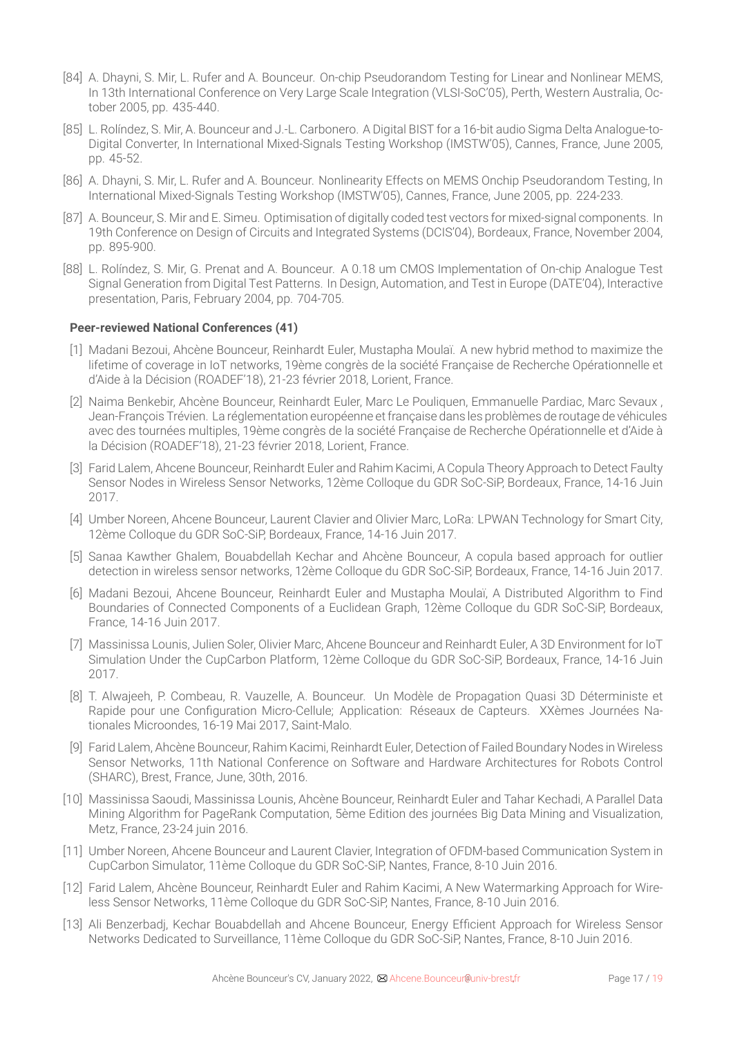- [84] A. Dhayni, S. Mir, L. Rufer and A. Bounceur. On-chip Pseudorandom Testing for Linear and Nonlinear MEMS, In 13th International Conference on Very Large Scale Integration (VLSI-SoC'05), Perth, Western Australia, October 2005, pp. 435-440.
- [85] L. Rolíndez, S. Mir, A. Bounceur and J.-L. Carbonero. A Digital BIST for a 16-bit audio Sigma Delta Analogue-to-Digital Converter, In International Mixed-Signals Testing Workshop (IMSTW'05), Cannes, France, June 2005, pp. 45-52.
- [86] A. Dhayni, S. Mir, L. Rufer and A. Bounceur. Nonlinearity Effects on MEMS Onchip Pseudorandom Testing, In International Mixed-Signals Testing Workshop (IMSTW'05), Cannes, France, June 2005, pp. 224-233.
- [87] A. Bounceur, S. Mir and E. Simeu. Optimisation of digitally coded test vectors for mixed-signal components. In 19th Conference on Design of Circuits and Integrated Systems (DCIS'04), Bordeaux, France, November 2004, pp. 895-900.
- [88] L. Rolíndez, S. Mir, G. Prenat and A. Bounceur. A 0.18 um CMOS Implementation of On-chip Analogue Test Signal Generation from Digital Test Patterns. In Design, Automation, and Test in Europe (DATE'04), Interactive presentation, Paris, February 2004, pp. 704-705.

### **Peer-reviewed National Conferences (41)**

- [1] Madani Bezoui, Ahcène Bounceur, Reinhardt Euler, Mustapha Moulaï. A new hybrid method to maximize the lifetime of coverage in IoT networks, 19ème congrès de la société Française de Recherche Opérationnelle et d'Aide à la Décision (ROADEF'18), 21-23 février 2018, Lorient, France.
- [2] Naima Benkebir, Ahcène Bounceur, Reinhardt Euler, Marc Le Pouliquen, Emmanuelle Pardiac, Marc Sevaux , Jean-François Trévien. La réglementation européenne etfrançaise dans les problèmes de routage de véhicules avec des tournées multiples, 19ème congrès de la société Française de Recherche Opérationnelle et d'Aide à la Décision (ROADEF'18), 21-23 février 2018, Lorient, France.
- [3] Farid Lalem, Ahcene Bounceur, Reinhardt Euler and Rahim Kacimi, A Copula Theory Approach to Detect Faulty Sensor Nodes in Wireless Sensor Networks, 12ème Colloque du GDR SoC-SiP, Bordeaux, France, 14-16 Juin 2017.
- [4] Umber Noreen, Ahcene Bounceur, Laurent Clavier and Olivier Marc, LoRa: LPWAN Technology for Smart City, 12ème Colloque du GDR SoC-SiP, Bordeaux, France, 14-16 Juin 2017.
- [5] Sanaa Kawther Ghalem, Bouabdellah Kechar and Ahcène Bounceur, A copula based approach for outlier detection in wireless sensor networks, 12ème Colloque du GDR SoC-SiP, Bordeaux, France, 14-16 Juin 2017.
- [6] Madani Bezoui, Ahcene Bounceur, Reinhardt Euler and Mustapha Moulaï, A Distributed Algorithm to Find Boundaries of Connected Components of a Euclidean Graph, 12ème Colloque du GDR SoC-SiP, Bordeaux, France, 14-16 Juin 2017.
- [7] Massinissa Lounis, Julien Soler, Olivier Marc, Ahcene Bounceur and Reinhardt Euler, A 3D Environment for IoT Simulation Under the CupCarbon Platform, 12ème Colloque du GDR SoC-SiP, Bordeaux, France, 14-16 Juin 2017.
- [8] T. Alwajeeh, P. Combeau, R. Vauzelle, A. Bounceur. Un Modèle de Propagation Quasi 3D Déterministe et Rapide pour une Configuration Micro-Cellule; Application: Réseaux de Capteurs. XXèmes Journées Nationales Microondes, 16-19 Mai 2017, Saint-Malo.
- [9] Farid Lalem, Ahcène Bounceur, Rahim Kacimi, Reinhardt Euler, Detection of Failed Boundary Nodes in Wireless Sensor Networks, 11th National Conference on Software and Hardware Architectures for Robots Control (SHARC), Brest, France, June, 30th, 2016.
- [10] Massinissa Saoudi, Massinissa Lounis, Ahcène Bounceur, Reinhardt Euler and Tahar Kechadi, A Parallel Data Mining Algorithm for PageRank Computation, 5ème Edition des journées Big Data Mining and Visualization, Metz, France, 23-24 juin 2016.
- [11] Umber Noreen, Ahcene Bounceur and Laurent Clavier, Integration of OFDM-based Communication System in CupCarbon Simulator, 11ème Colloque du GDR SoC-SiP, Nantes, France, 8-10 Juin 2016.
- [12] Farid Lalem, Ahcène Bounceur, Reinhardt Euler and Rahim Kacimi, A New Watermarking Approach for Wireless Sensor Networks, 11ème Colloque du GDR SoC-SiP, Nantes, France, 8-10 Juin 2016.
- [13] Ali Benzerbadj, Kechar Bouabdellah and Ahcene Bounceur, Energy Efficient Approach for Wireless Sensor Networks Dedicated to Surveillance, 11ème Colloque du GDR SoC-SiP, Nantes, France, 8-10 Juin 2016.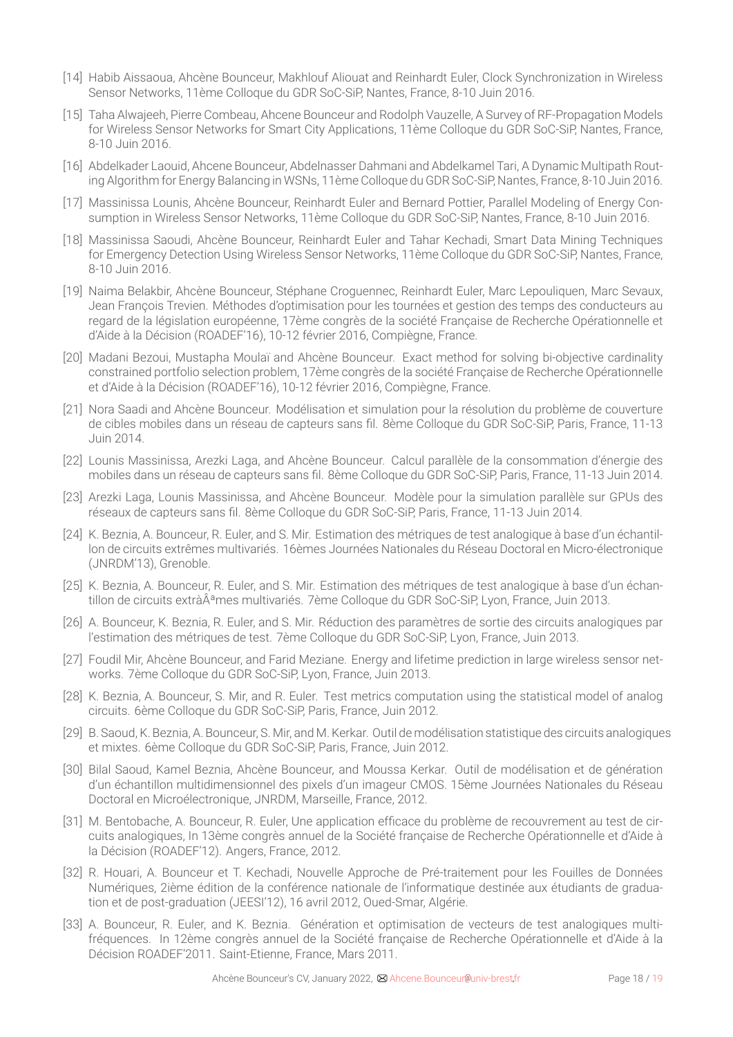- [14] Habib Aissaoua, Ahcène Bounceur, Makhlouf Aliouat and Reinhardt Euler, Clock Synchronization in Wireless Sensor Networks, 11ème Colloque du GDR SoC-SiP, Nantes, France, 8-10 Juin 2016.
- [15] Taha Alwajeeh, Pierre Combeau, Ahcene Bounceur and Rodolph Vauzelle, A Survey of RF-Propagation Models for Wireless Sensor Networks for Smart City Applications, 11ème Colloque du GDR SoC-SiP, Nantes, France, 8-10 Juin 2016.
- [16] Abdelkader Laouid, Ahcene Bounceur, Abdelnasser Dahmani and Abdelkamel Tari, A Dynamic Multipath Routing Algorithm for Energy Balancing in WSNs, 11ème Colloque du GDR SoC-SiP, Nantes, France, 8-10 Juin 2016.
- [17] Massinissa Lounis, Ahcène Bounceur, Reinhardt Euler and Bernard Pottier, Parallel Modeling of Energy Consumption in Wireless Sensor Networks, 11ème Colloque du GDR SoC-SiP, Nantes, France, 8-10 Juin 2016.
- [18] Massinissa Saoudi, Ahcène Bounceur, Reinhardt Euler and Tahar Kechadi, Smart Data Mining Techniques for Emergency Detection Using Wireless Sensor Networks, 11ème Colloque du GDR SoC-SiP, Nantes, France, 8-10 Juin 2016.
- [19] Naima Belakbir, Ahcène Bounceur, Stéphane Croguennec, Reinhardt Euler, Marc Lepouliquen, Marc Sevaux, Jean François Trevien. Méthodes d'optimisation pour les tournées et gestion des temps des conducteurs au regard de la législation européenne, 17ème congrès de la société Française de Recherche Opérationnelle et d'Aide à la Décision (ROADEF'16), 10-12 février 2016, Compiègne, France.
- [20] Madani Bezoui, Mustapha Moulaï and Ahcène Bounceur. Exact method for solving bi-objective cardinality constrained portfolio selection problem, 17ème congrès de la société Française de Recherche Opérationnelle et d'Aide à la Décision (ROADEF'16), 10-12 février 2016, Compiègne, France.
- [21] Nora Saadi and Ahcène Bounceur. Modélisation et simulation pour la résolution du problème de couverture de cibles mobiles dans un réseau de capteurs sans fil. 8ème Colloque du GDR SoC-SiP, Paris, France, 11-13 Juin 2014.
- [22] Lounis Massinissa, Arezki Laga, and Ahcène Bounceur. Calcul parallèle de la consommation d'énergie des mobiles dans un réseau de capteurs sans fil. 8ème Colloque du GDR SoC-SiP, Paris, France, 11-13 Juin 2014.
- [23] Arezki Laga, Lounis Massinissa, and Ahcène Bounceur. Modèle pour la simulation parallèle sur GPUs des réseaux de capteurs sans fil. 8ème Colloque du GDR SoC-SiP, Paris, France, 11-13 Juin 2014.
- [24] K. Beznia, A. Bounceur, R. Euler, and S. Mir. Estimation des métriques de test analogique à base d'un échantillon de circuits extrêmes multivariés. 16èmes Journées Nationales du Réseau Doctoral en Micro-électronique (JNRDM'13), Grenoble.
- [25] K. Beznia, A. Bounceur, R. Euler, and S. Mir. Estimation des métriques de test analogique à base d'un échantillon de circuits extràÂ<sup>a</sup>mes multivariés. 7ème Colloque du GDR SoC-SiP, Lyon, France, Juin 2013.
- [26] A. Bounceur, K. Beznia, R. Euler, and S. Mir. Réduction des paramètres de sortie des circuits analogiques par l'estimation des métriques de test. 7ème Colloque du GDR SoC-SiP, Lyon, France, Juin 2013.
- [27] Foudil Mir, Ahcène Bounceur, and Farid Meziane. Energy and lifetime prediction in large wireless sensor networks. 7ème Colloque du GDR SoC-SiP, Lyon, France, Juin 2013.
- [28] K. Beznia, A. Bounceur, S. Mir, and R. Euler. Test metrics computation using the statistical model of analog circuits. 6ème Colloque du GDR SoC-SiP, Paris, France, Juin 2012.
- [29] B. Saoud, K. Beznia, A. Bounceur, S. Mir, and M. Kerkar. Outil de modélisation statistique des circuits analogiques et mixtes. 6ème Colloque du GDR SoC-SiP, Paris, France, Juin 2012.
- [30] Bilal Saoud, Kamel Beznia, Ahcène Bounceur, and Moussa Kerkar. Outil de modélisation et de génération d'un échantillon multidimensionnel des pixels d'un imageur CMOS. 15ème Journées Nationales du Réseau Doctoral en Microélectronique, JNRDM, Marseille, France, 2012.
- [31] M. Bentobache, A. Bounceur, R. Euler, Une application efficace du problème de recouvrement au test de circuits analogiques, In 13ème congrès annuel de la Société française de Recherche Opérationnelle et d'Aide à la Décision (ROADEF'12). Angers, France, 2012.
- [32] R. Houari, A. Bounceur et T. Kechadi, Nouvelle Approche de Pré-traitement pour les Fouilles de Données Numériques, 2ième édition de la conférence nationale de l'informatique destinée aux étudiants de graduation et de post-graduation (JEESI'12), 16 avril 2012, Oued-Smar, Algérie.
- [33] A. Bounceur, R. Euler, and K. Beznia. Génération et optimisation de vecteurs de test analogiques multifréquences. In 12ème congrès annuel de la Société française de Recherche Opérationnelle et d'Aide à la Décision ROADEF'2011. Saint-Etienne, France, Mars 2011.